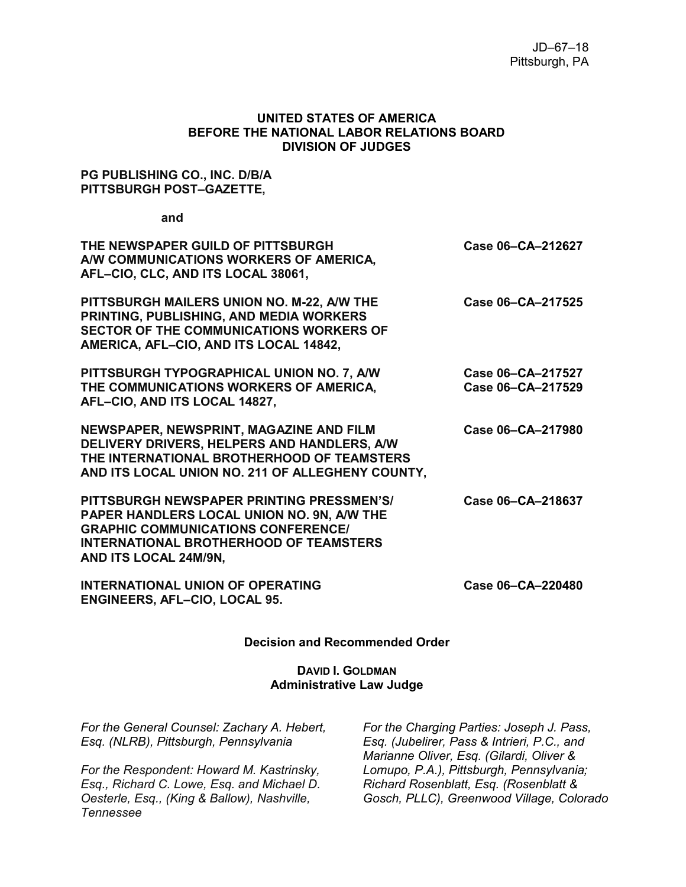### **UNITED STATES OF AMERICA BEFORE THE NATIONAL LABOR RELATIONS BOARD DIVISION OF JUDGES**

### **PG PUBLISHING CO., INC. D/B/A PITTSBURGH POST–GAZETTE,**

**and**

| THE NEWSPAPER GUILD OF PITTSBURGH<br>A/W COMMUNICATIONS WORKERS OF AMERICA,<br>AFL-CIO, CLC, AND ITS LOCAL 38061,                                                                                              | Case 06-CA-212627                      |
|----------------------------------------------------------------------------------------------------------------------------------------------------------------------------------------------------------------|----------------------------------------|
| PITTSBURGH MAILERS UNION NO. M-22, A/W THE<br>PRINTING, PUBLISHING, AND MEDIA WORKERS<br><b>SECTOR OF THE COMMUNICATIONS WORKERS OF</b><br>AMERICA, AFL-CIO, AND ITS LOCAL 14842,                              | Case 06-CA-217525                      |
| PITTSBURGH TYPOGRAPHICAL UNION NO. 7, A/W<br>THE COMMUNICATIONS WORKERS OF AMERICA,<br>AFL-CIO, AND ITS LOCAL 14827,                                                                                           | Case 06-CA-217527<br>Case 06-CA-217529 |
| NEWSPAPER, NEWSPRINT, MAGAZINE AND FILM<br>DELIVERY DRIVERS, HELPERS AND HANDLERS, A/W<br>THE INTERNATIONAL BROTHERHOOD OF TEAMSTERS<br>AND ITS LOCAL UNION NO. 211 OF ALLEGHENY COUNTY,                       | Case 06-CA-217980                      |
| PITTSBURGH NEWSPAPER PRINTING PRESSMEN'S/<br>PAPER HANDLERS LOCAL UNION NO. 9N, A/W THE<br><b>GRAPHIC COMMUNICATIONS CONFERENCE/</b><br><b>INTERNATIONAL BROTHERHOOD OF TEAMSTERS</b><br>AND ITS LOCAL 24M/9N, | Case 06-CA-218637                      |
| <b>INTERNATIONAL UNION OF OPERATING</b><br><b>ENGINEERS, AFL-CIO, LOCAL 95.</b>                                                                                                                                | Case 06-CA-220480                      |

### **Decision and Recommended Order**

### **DAVID I. GOLDMAN Administrative Law Judge**

*For the General Counsel: Zachary A. Hebert, Esq. (NLRB), Pittsburgh, Pennsylvania*

*For the Respondent: Howard M. Kastrinsky, Esq., Richard C. Lowe, Esq. and Michael D. Oesterle, Esq., (King & Ballow), Nashville, Tennessee*

*For the Charging Parties: Joseph J. Pass, Esq. (Jubelirer, Pass & Intrieri, P.C., and Marianne Oliver, Esq. (Gilardi, Oliver & Lomupo, P.A.), Pittsburgh, Pennsylvania; Richard Rosenblatt, Esq. (Rosenblatt & Gosch, PLLC), Greenwood Village, Colorado*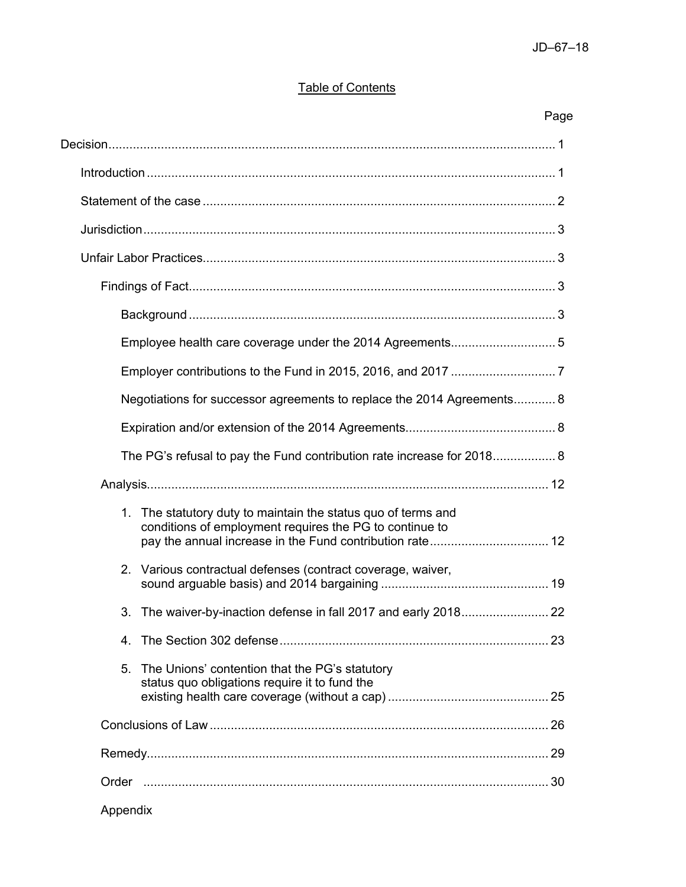# **Table of Contents**

# Page

| Negotiations for successor agreements to replace the 2014 Agreements 8                                                                                                               |  |
|--------------------------------------------------------------------------------------------------------------------------------------------------------------------------------------|--|
|                                                                                                                                                                                      |  |
| The PG's refusal to pay the Fund contribution rate increase for 2018 8                                                                                                               |  |
|                                                                                                                                                                                      |  |
| 1. The statutory duty to maintain the status quo of terms and<br>conditions of employment requires the PG to continue to<br>pay the annual increase in the Fund contribution rate 12 |  |
| Various contractual defenses (contract coverage, waiver,<br>2.                                                                                                                       |  |
| 3.                                                                                                                                                                                   |  |
|                                                                                                                                                                                      |  |
| The Unions' contention that the PG's statutory<br>5.<br>status quo obligations require it to fund the                                                                                |  |
|                                                                                                                                                                                      |  |
|                                                                                                                                                                                      |  |
|                                                                                                                                                                                      |  |
| Appendix                                                                                                                                                                             |  |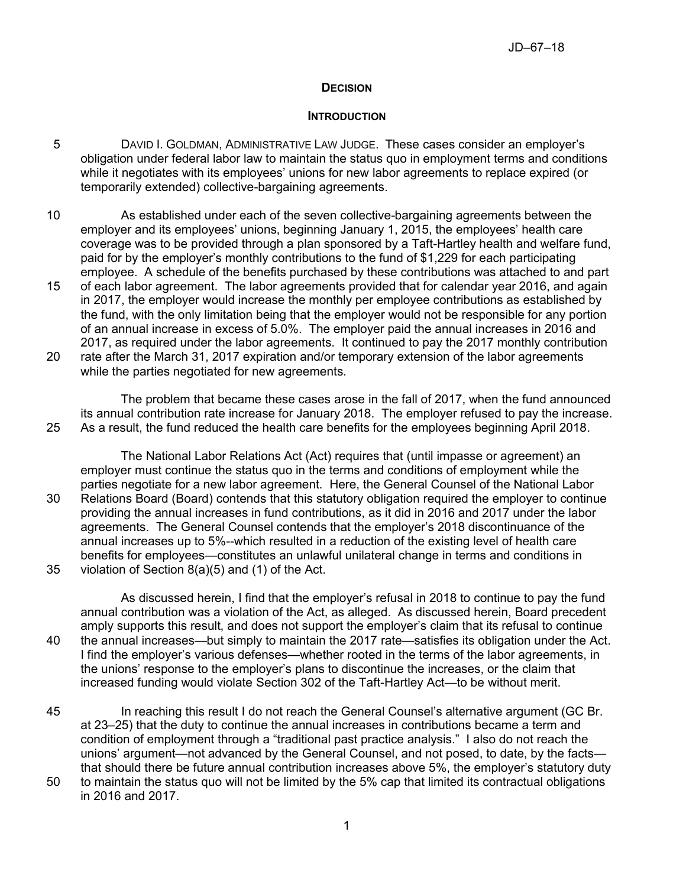## **DECISION**

### **INTRODUCTION**

- 5 DAVID I. GOLDMAN, ADMINISTRATIVE LAW JUDGE. These cases consider an employer's obligation under federal labor law to maintain the status quo in employment terms and conditions while it negotiates with its employees' unions for new labor agreements to replace expired (or temporarily extended) collective-bargaining agreements.
- 10 As established under each of the seven collective-bargaining agreements between the employer and its employees' unions, beginning January 1, 2015, the employees' health care coverage was to be provided through a plan sponsored by a Taft-Hartley health and welfare fund, paid for by the employer's monthly contributions to the fund of \$1,229 for each participating employee. A schedule of the benefits purchased by these contributions was attached to and part
- 15 of each labor agreement. The labor agreements provided that for calendar year 2016, and again in 2017, the employer would increase the monthly per employee contributions as established by the fund, with the only limitation being that the employer would not be responsible for any portion of an annual increase in excess of 5.0%. The employer paid the annual increases in 2016 and 2017, as required under the labor agreements. It continued to pay the 2017 monthly contribution
- 20 rate after the March 31, 2017 expiration and/or temporary extension of the labor agreements while the parties negotiated for new agreements.

The problem that became these cases arose in the fall of 2017, when the fund announced its annual contribution rate increase for January 2018. The employer refused to pay the increase. 25 As a result, the fund reduced the health care benefits for the employees beginning April 2018.

The National Labor Relations Act (Act) requires that (until impasse or agreement) an employer must continue the status quo in the terms and conditions of employment while the parties negotiate for a new labor agreement. Here, the General Counsel of the National Labor 30 Relations Board (Board) contends that this statutory obligation required the employer to continue providing the annual increases in fund contributions, as it did in 2016 and 2017 under the labor agreements. The General Counsel contends that the employer's 2018 discontinuance of the annual increases up to 5%--which resulted in a reduction of the existing level of health care benefits for employees—constitutes an unlawful unilateral change in terms and conditions in 35 violation of Section 8(a)(5) and (1) of the Act.

As discussed herein, I find that the employer's refusal in 2018 to continue to pay the fund annual contribution was a violation of the Act, as alleged. As discussed herein, Board precedent amply supports this result, and does not support the employer's claim that its refusal to continue 40 the annual increases—but simply to maintain the 2017 rate—satisfies its obligation under the Act. I find the employer's various defenses—whether rooted in the terms of the labor agreements, in the unions' response to the employer's plans to discontinue the increases, or the claim that increased funding would violate Section 302 of the Taft-Hartley Act—to be without merit.

- 45 In reaching this result I do not reach the General Counsel's alternative argument (GC Br. at 23–25) that the duty to continue the annual increases in contributions became a term and condition of employment through a "traditional past practice analysis." I also do not reach the unions' argument—not advanced by the General Counsel, and not posed, to date, by the facts that should there be future annual contribution increases above 5%, the employer's statutory duty 50 to maintain the status quo will not be limited by the 5% cap that limited its contractual obligations
- in 2016 and 2017.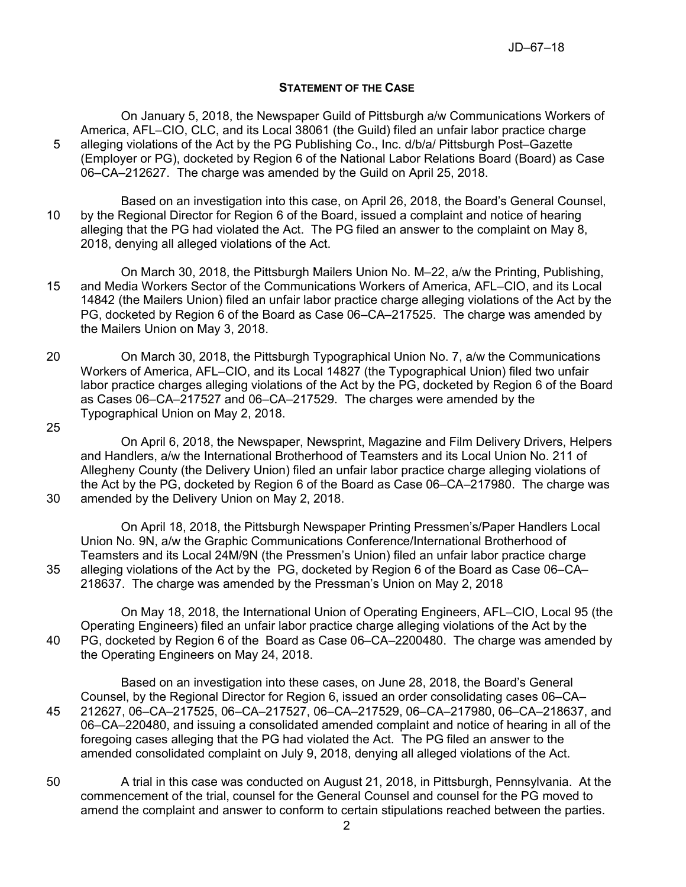### **STATEMENT OF THE CASE**

On January 5, 2018, the Newspaper Guild of Pittsburgh a/w Communications Workers of America, AFL–CIO, CLC, and its Local 38061 (the Guild) filed an unfair labor practice charge 5 alleging violations of the Act by the PG Publishing Co., Inc. d/b/a/ Pittsburgh Post–Gazette (Employer or PG), docketed by Region 6 of the National Labor Relations Board (Board) as Case 06–CA–212627. The charge was amended by the Guild on April 25, 2018.

Based on an investigation into this case, on April 26, 2018, the Board's General Counsel, 10 by the Regional Director for Region 6 of the Board, issued a complaint and notice of hearing alleging that the PG had violated the Act. The PG filed an answer to the complaint on May 8, 2018, denying all alleged violations of the Act.

On March 30, 2018, the Pittsburgh Mailers Union No. M–22, a/w the Printing, Publishing, 15 and Media Workers Sector of the Communications Workers of America, AFL–CIO, and its Local 14842 (the Mailers Union) filed an unfair labor practice charge alleging violations of the Act by the PG, docketed by Region 6 of the Board as Case 06–CA–217525. The charge was amended by the Mailers Union on May 3, 2018.

- 20 On March 30, 2018, the Pittsburgh Typographical Union No. 7, a/w the Communications Workers of America, AFL–CIO, and its Local 14827 (the Typographical Union) filed two unfair labor practice charges alleging violations of the Act by the PG, docketed by Region 6 of the Board as Cases 06–CA–217527 and 06–CA–217529. The charges were amended by the Typographical Union on May 2, 2018.
- 25

On April 6, 2018, the Newspaper, Newsprint, Magazine and Film Delivery Drivers, Helpers and Handlers, a/w the International Brotherhood of Teamsters and its Local Union No. 211 of Allegheny County (the Delivery Union) filed an unfair labor practice charge alleging violations of the Act by the PG, docketed by Region 6 of the Board as Case 06–CA–217980. The charge was 30 amended by the Delivery Union on May 2, 2018.

On April 18, 2018, the Pittsburgh Newspaper Printing Pressmen's/Paper Handlers Local Union No. 9N, a/w the Graphic Communications Conference/International Brotherhood of Teamsters and its Local 24M/9N (the Pressmen's Union) filed an unfair labor practice charge 35 alleging violations of the Act by the PG, docketed by Region 6 of the Board as Case 06–CA– 218637. The charge was amended by the Pressman's Union on May 2, 2018

On May 18, 2018, the International Union of Operating Engineers, AFL–CIO, Local 95 (the Operating Engineers) filed an unfair labor practice charge alleging violations of the Act by the 40 PG, docketed by Region 6 of the Board as Case 06–CA–2200480. The charge was amended by the Operating Engineers on May 24, 2018.

Based on an investigation into these cases, on June 28, 2018, the Board's General Counsel, by the Regional Director for Region 6, issued an order consolidating cases 06–CA– 45 212627, 06–CA–217525, 06–CA–217527, 06–CA–217529, 06–CA–217980, 06–CA–218637, and 06–CA–220480, and issuing a consolidated amended complaint and notice of hearing in all of the foregoing cases alleging that the PG had violated the Act. The PG filed an answer to the amended consolidated complaint on July 9, 2018, denying all alleged violations of the Act.

50 A trial in this case was conducted on August 21, 2018, in Pittsburgh, Pennsylvania. At the commencement of the trial, counsel for the General Counsel and counsel for the PG moved to amend the complaint and answer to conform to certain stipulations reached between the parties.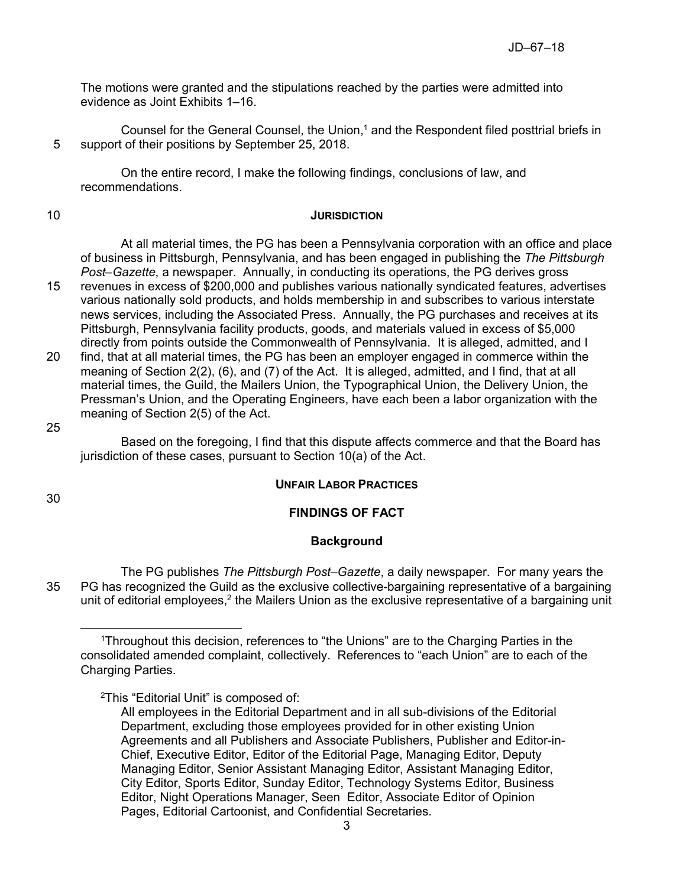The motions were granted and the stipulations reached by the parties were admitted into evidence as Joint Exhibits 1–16.

Counsel for the General Counsel, the Union, $<sup>1</sup>$  and the Respondent filed posttrial briefs in</sup> 5 support of their positions by September 25, 2018.

On the entire record, I make the following findings, conclusions of law, and recommendations.

### 10 **JURISDICTION**

At all material times, the PG has been a Pennsylvania corporation with an office and place of business in Pittsburgh, Pennsylvania, and has been engaged in publishing the *The Pittsburgh Post–Gazette*, a newspaper. Annually, in conducting its operations, the PG derives gross

- 15 revenues in excess of \$200,000 and publishes various nationally syndicated features, advertises various nationally sold products, and holds membership in and subscribes to various interstate news services, including the Associated Press. Annually, the PG purchases and receives at its Pittsburgh, Pennsylvania facility products, goods, and materials valued in excess of \$5,000 directly from points outside the Commonwealth of Pennsylvania. It is alleged, admitted, and I
- 20 find, that at all material times, the PG has been an employer engaged in commerce within the meaning of Section 2(2), (6), and (7) of the Act. It is alleged, admitted, and I find, that at all material times, the Guild, the Mailers Union, the Typographical Union, the Delivery Union, the Pressman's Union, and the Operating Engineers, have each been a labor organization with the meaning of Section 2(5) of the Act.

### 25

Based on the foregoing, I find that this dispute affects commerce and that the Board has jurisdiction of these cases, pursuant to Section 10(a) of the Act.

## **UNFAIR LABOR PRACTICES**

30

## **FINDINGS OF FACT**

## **Background**

The PG publishes *The Pittsburgh Post–Gazette*, a daily newspaper. For many years the 35 PG has recognized the Guild as the exclusive collective-bargaining representative of a bargaining unit of editorial employees, $^2$  the Mailers Union as the exclusive representative of a bargaining unit

<sup>2</sup>This "Editorial Unit" is composed of:

<sup>1</sup>Throughout this decision, references to "the Unions" are to the Charging Parties in the consolidated amended complaint, collectively. References to "each Union" are to each of the Charging Parties.

All employees in the Editorial Department and in all sub-divisions of the Editorial Department, excluding those employees provided for in other existing Union Agreements and all Publishers and Associate Publishers, Publisher and Editor-in-Chief, Executive Editor, Editor of the Editorial Page, Managing Editor, Deputy Managing Editor, Senior Assistant Managing Editor, Assistant Managing Editor, City Editor, Sports Editor, Sunday Editor, Technology Systems Editor, Business Editor, Night Operations Manager, Seen Editor, Associate Editor of Opinion Pages, Editorial Cartoonist, and Confidential Secretaries.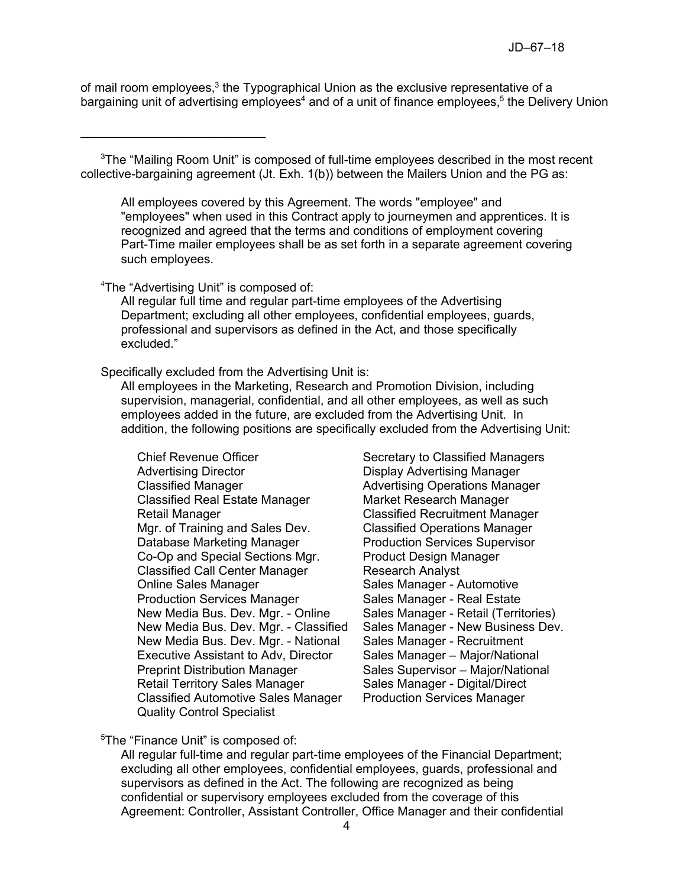of mail room employees,<sup>3</sup> the Typographical Union as the exclusive representative of a bargaining unit of advertising employees<sup>4</sup> and of a unit of finance employees,<sup>5</sup> the Delivery Union

<sup>3</sup>The "Mailing Room Unit" is composed of full-time employees described in the most recent collective-bargaining agreement (Jt. Exh. 1(b)) between the Mailers Union and the PG as:

All employees covered by this Agreement. The words "employee" and "employees" when used in this Contract apply to journeymen and apprentices. It is recognized and agreed that the terms and conditions of employment covering Part-Time mailer employees shall be as set forth in a separate agreement covering such employees.

### <sup>4</sup>The "Advertising Unit" is composed of:

All regular full time and regular part-time employees of the Advertising Department; excluding all other employees, confidential employees, guards, professional and supervisors as defined in the Act, and those specifically excluded."

Specifically excluded from the Advertising Unit is:

All employees in the Marketing, Research and Promotion Division, including supervision, managerial, confidential, and all other employees, as well as such employees added in the future, are excluded from the Advertising Unit. In addition, the following positions are specifically excluded from the Advertising Unit:

Chief Revenue Officer Fig. 2014 Secretary to Classified Managers<br>Advertising Director Fig. 2015 Secretary Advertising Manager Classified Manager **Advertising Operations Manager** Classified Manager Classified Real Estate Manager Market Research Manager Retail Manager Classified Recruitment Manager Mgr. of Training and Sales Dev. Classified Operations Manager Database Marketing Manager Production Services Supervisor Co-Op and Special Sections Mgr. Product Design Manager Classified Call Center Manager Research Analyst Online Sales Manager Sales Manager - Automotive Production Services Manager Sales Manager - Real Estate New Media Bus. Dev. Mgr. - Online Sales Manager - Retail (Territories) New Media Bus. Dev. Mgr. - Classified Sales Manager - New Business Dev. New Media Bus. Dev. Mgr. - National Sales Manager - Recruitment Executive Assistant to Adv, Director Sales Manager – Major/National Preprint Distribution Manager Sales Supervisor – Major/National Retail Territory Sales Manager Sales Manager - Digital/Direct Classified Automotive Sales Manager Production Services Manager Quality Control Specialist

Display Advertising Manager

<sup>5</sup>The "Finance Unit" is composed of:

All regular full-time and regular part-time employees of the Financial Department; excluding all other employees, confidential employees, guards, professional and supervisors as defined in the Act. The following are recognized as being confidential or supervisory employees excluded from the coverage of this Agreement: Controller, Assistant Controller, Office Manager and their confidential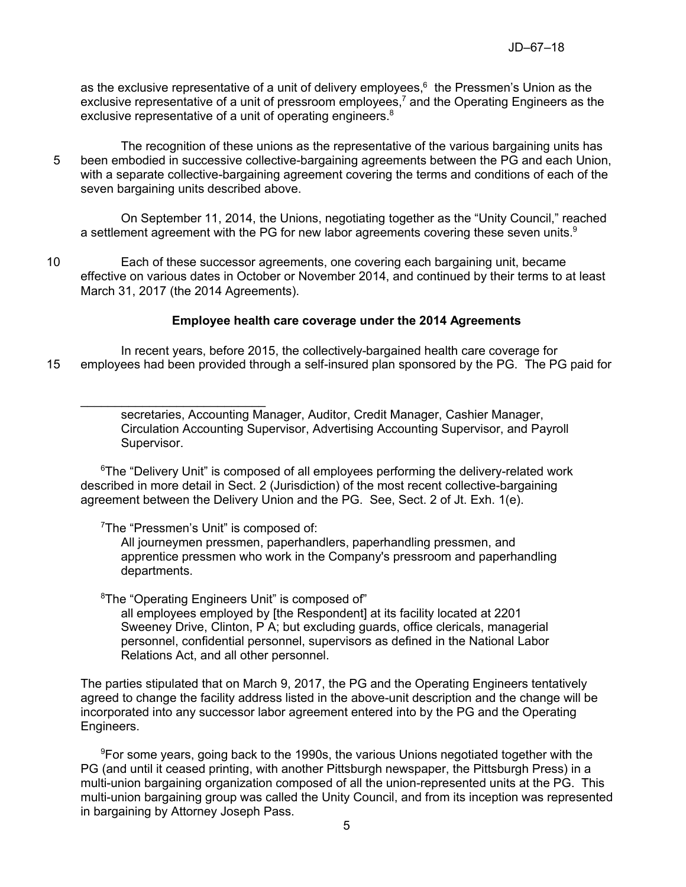as the exclusive representative of a unit of delivery employees, $^6\,$  the Pressmen's Union as the exclusive representative of a unit of pressroom employees,<sup>7</sup> and the Operating Engineers as the exclusive representative of a unit of operating engineers.<sup>8</sup>

The recognition of these unions as the representative of the various bargaining units has 5 been embodied in successive collective-bargaining agreements between the PG and each Union, with a separate collective-bargaining agreement covering the terms and conditions of each of the seven bargaining units described above.

On September 11, 2014, the Unions, negotiating together as the "Unity Council," reached a settlement agreement with the PG for new labor agreements covering these seven units. $^9$ 

10 Each of these successor agreements, one covering each bargaining unit, became effective on various dates in October or November 2014, and continued by their terms to at least March 31, 2017 (the 2014 Agreements).

### **Employee health care coverage under the 2014 Agreements**

In recent years, before 2015, the collectively-bargained health care coverage for 15 employees had been provided through a self-insured plan sponsored by the PG. The PG paid for

> secretaries, Accounting Manager, Auditor, Credit Manager, Cashier Manager, Circulation Accounting Supervisor, Advertising Accounting Supervisor, and Payroll Supervisor.

 $6$ The "Delivery Unit" is composed of all employees performing the delivery-related work described in more detail in Sect. 2 (Jurisdiction) of the most recent collective-bargaining agreement between the Delivery Union and the PG. See, Sect. 2 of Jt. Exh. 1(e).

### <sup>7</sup>The "Pressmen's Unit" is composed of:

 $\mathcal{L}_\text{max}$  , where  $\mathcal{L}_\text{max}$  is the set of the set of the set of the set of the set of the set of the set of the set of the set of the set of the set of the set of the set of the set of the set of the set of the se

All journeymen pressmen, paperhandlers, paperhandling pressmen, and apprentice pressmen who work in the Company's pressroom and paperhandling departments.

<sup>8</sup>The "Operating Engineers Unit" is composed of"

all employees employed by [the Respondent] at its facility located at 2201 Sweeney Drive, Clinton, P A; but excluding guards, office clericals, managerial personnel, confidential personnel, supervisors as defined in the National Labor Relations Act, and all other personnel.

The parties stipulated that on March 9, 2017, the PG and the Operating Engineers tentatively agreed to change the facility address listed in the above-unit description and the change will be incorporated into any successor labor agreement entered into by the PG and the Operating Engineers.

<sup>9</sup>For some years, going back to the 1990s, the various Unions negotiated together with the PG (and until it ceased printing, with another Pittsburgh newspaper, the Pittsburgh Press) in a multi-union bargaining organization composed of all the union-represented units at the PG. This multi-union bargaining group was called the Unity Council, and from its inception was represented in bargaining by Attorney Joseph Pass.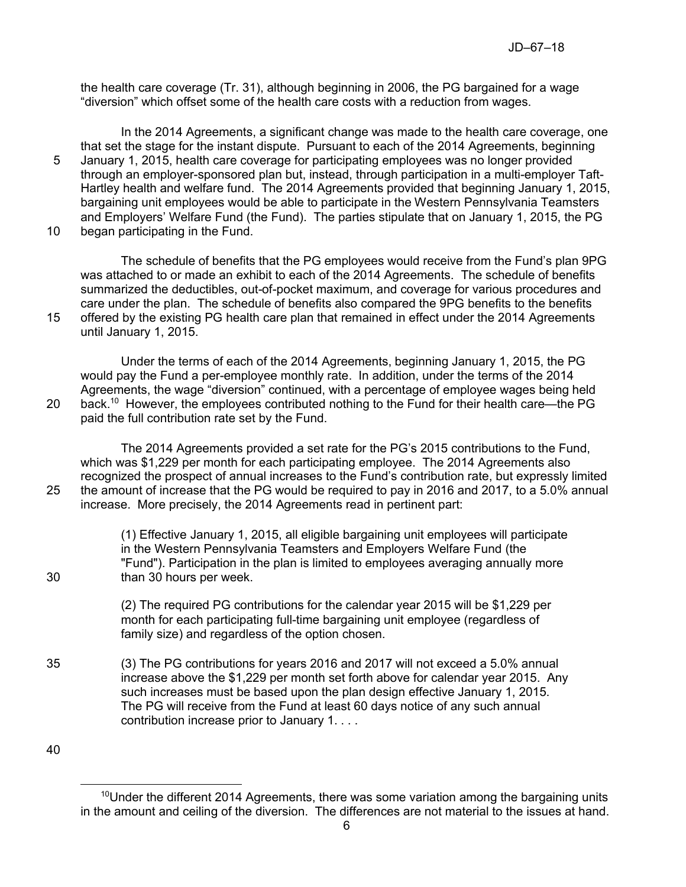the health care coverage (Tr. 31), although beginning in 2006, the PG bargained for a wage "diversion" which offset some of the health care costs with a reduction from wages.

In the 2014 Agreements, a significant change was made to the health care coverage, one that set the stage for the instant dispute. Pursuant to each of the 2014 Agreements, beginning 5 January 1, 2015, health care coverage for participating employees was no longer provided through an employer-sponsored plan but, instead, through participation in a multi-employer Taft-Hartley health and welfare fund. The 2014 Agreements provided that beginning January 1, 2015, bargaining unit employees would be able to participate in the Western Pennsylvania Teamsters and Employers' Welfare Fund (the Fund). The parties stipulate that on January 1, 2015, the PG 10 began participating in the Fund.

The schedule of benefits that the PG employees would receive from the Fund's plan 9PG was attached to or made an exhibit to each of the 2014 Agreements. The schedule of benefits summarized the deductibles, out-of-pocket maximum, and coverage for various procedures and care under the plan. The schedule of benefits also compared the 9PG benefits to the benefits 15 offered by the existing PG health care plan that remained in effect under the 2014 Agreements until January 1, 2015.

Under the terms of each of the 2014 Agreements, beginning January 1, 2015, the PG would pay the Fund a per-employee monthly rate. In addition, under the terms of the 2014 Agreements, the wage "diversion" continued, with a percentage of employee wages being held 20 back.<sup>10</sup> However, the employees contributed nothing to the Fund for their health care—the PG paid the full contribution rate set by the Fund.

The 2014 Agreements provided a set rate for the PG's 2015 contributions to the Fund, which was \$1,229 per month for each participating employee. The 2014 Agreements also recognized the prospect of annual increases to the Fund's contribution rate, but expressly limited 25 the amount of increase that the PG would be required to pay in 2016 and 2017, to a 5.0% annual increase. More precisely, the 2014 Agreements read in pertinent part:

(1) Effective January 1, 2015, all eligible bargaining unit employees will participate in the Western Pennsylvania Teamsters and Employers Welfare Fund (the "Fund"). Participation in the plan is limited to employees averaging annually more 30 than 30 hours per week.

> (2) The required PG contributions for the calendar year 2015 will be \$1,229 per month for each participating full-time bargaining unit employee (regardless of family size) and regardless of the option chosen.

35 (3) The PG contributions for years 2016 and 2017 will not exceed a 5.0% annual increase above the \$1,229 per month set forth above for calendar year 2015. Any such increases must be based upon the plan design effective January 1, 2015. The PG will receive from the Fund at least 60 days notice of any such annual contribution increase prior to January 1. . . .

 $\overline{a}$  $10$ Under the different 2014 Agreements, there was some variation among the bargaining units in the amount and ceiling of the diversion. The differences are not material to the issues at hand.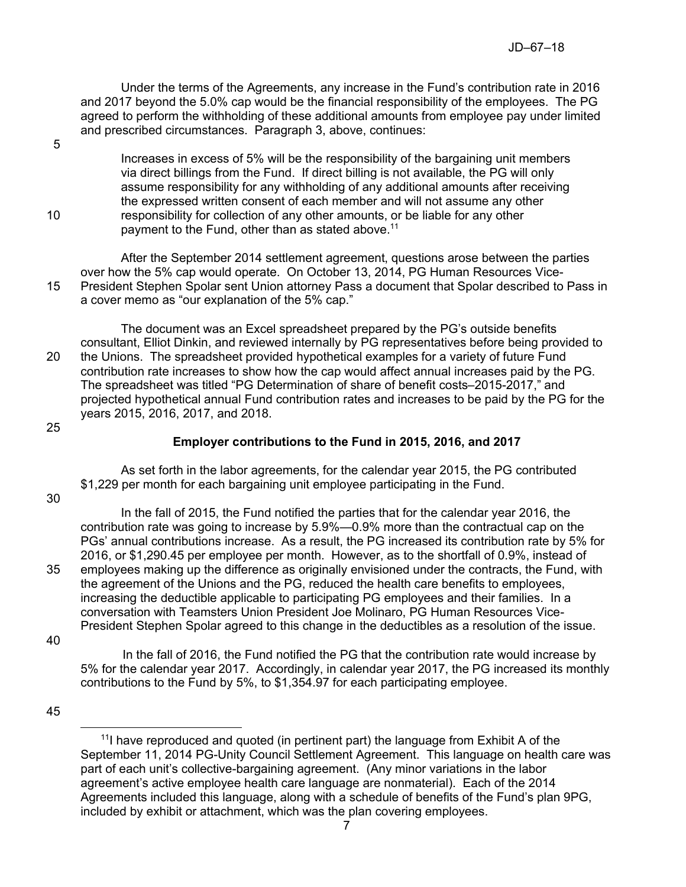Under the terms of the Agreements, any increase in the Fund's contribution rate in 2016 and 2017 beyond the 5.0% cap would be the financial responsibility of the employees. The PG agreed to perform the withholding of these additional amounts from employee pay under limited and prescribed circumstances. Paragraph 3, above, continues:

5

Increases in excess of 5% will be the responsibility of the bargaining unit members via direct billings from the Fund. If direct billing is not available, the PG will only assume responsibility for any withholding of any additional amounts after receiving the expressed written consent of each member and will not assume any other 10 responsibility for collection of any other amounts, or be liable for any other payment to the Fund, other than as stated above.<sup>11</sup>

After the September 2014 settlement agreement, questions arose between the parties over how the 5% cap would operate. On October 13, 2014, PG Human Resources Vice-15 President Stephen Spolar sent Union attorney Pass a document that Spolar described to Pass in a cover memo as "our explanation of the 5% cap."

The document was an Excel spreadsheet prepared by the PG's outside benefits consultant, Elliot Dinkin, and reviewed internally by PG representatives before being provided to 20 the Unions. The spreadsheet provided hypothetical examples for a variety of future Fund contribution rate increases to show how the cap would affect annual increases paid by the PG. The spreadsheet was titled "PG Determination of share of benefit costs–2015-2017," and projected hypothetical annual Fund contribution rates and increases to be paid by the PG for the years 2015, 2016, 2017, and 2018.

### 25

# **Employer contributions to the Fund in 2015, 2016, and 2017**

As set forth in the labor agreements, for the calendar year 2015, the PG contributed \$1,229 per month for each bargaining unit employee participating in the Fund.

30

In the fall of 2015, the Fund notified the parties that for the calendar year 2016, the contribution rate was going to increase by 5.9%—0.9% more than the contractual cap on the PGs' annual contributions increase. As a result, the PG increased its contribution rate by 5% for 2016, or \$1,290.45 per employee per month. However, as to the shortfall of 0.9%, instead of 35 employees making up the difference as originally envisioned under the contracts, the Fund, with the agreement of the Unions and the PG, reduced the health care benefits to employees, increasing the deductible applicable to participating PG employees and their families. In a conversation with Teamsters Union President Joe Molinaro, PG Human Resources Vice-President Stephen Spolar agreed to this change in the deductibles as a resolution of the issue.

40

In the fall of 2016, the Fund notified the PG that the contribution rate would increase by 5% for the calendar year 2017. Accordingly, in calendar year 2017, the PG increased its monthly contributions to the Fund by 5%, to \$1,354.97 for each participating employee.

 $\overline{a}$  $111$  have reproduced and quoted (in pertinent part) the language from Exhibit A of the September 11, 2014 PG-Unity Council Settlement Agreement. This language on health care was part of each unit's collective-bargaining agreement. (Any minor variations in the labor agreement's active employee health care language are nonmaterial). Each of the 2014 Agreements included this language, along with a schedule of benefits of the Fund's plan 9PG, included by exhibit or attachment, which was the plan covering employees.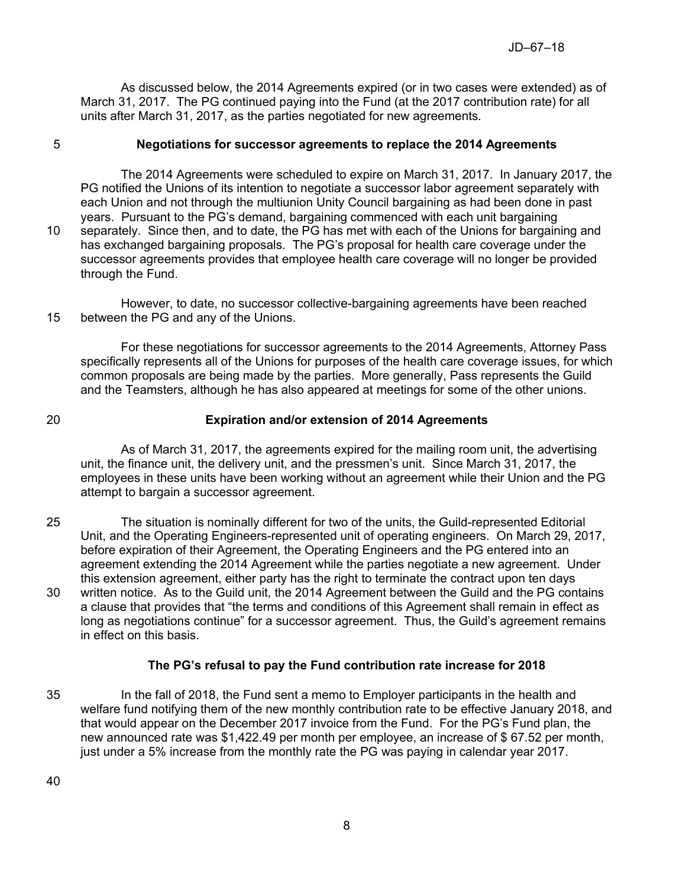As discussed below, the 2014 Agreements expired (or in two cases were extended) as of March 31, 2017. The PG continued paying into the Fund (at the 2017 contribution rate) for all units after March 31, 2017, as the parties negotiated for new agreements.

## 5 **Negotiations for successor agreements to replace the 2014 Agreements**

The 2014 Agreements were scheduled to expire on March 31, 2017. In January 2017, the PG notified the Unions of its intention to negotiate a successor labor agreement separately with each Union and not through the multiunion Unity Council bargaining as had been done in past years. Pursuant to the PG's demand, bargaining commenced with each unit bargaining 10 separately. Since then, and to date, the PG has met with each of the Unions for bargaining and has exchanged bargaining proposals. The PG's proposal for health care coverage under the successor agreements provides that employee health care coverage will no longer be provided through the Fund.

However, to date, no successor collective-bargaining agreements have been reached 15 between the PG and any of the Unions.

For these negotiations for successor agreements to the 2014 Agreements, Attorney Pass specifically represents all of the Unions for purposes of the health care coverage issues, for which common proposals are being made by the parties. More generally, Pass represents the Guild and the Teamsters, although he has also appeared at meetings for some of the other unions.

## 20 **Expiration and/or extension of 2014 Agreements**

As of March 31, 2017, the agreements expired for the mailing room unit, the advertising unit, the finance unit, the delivery unit, and the pressmen's unit. Since March 31, 2017, the employees in these units have been working without an agreement while their Union and the PG attempt to bargain a successor agreement.

25 The situation is nominally different for two of the units, the Guild-represented Editorial Unit, and the Operating Engineers-represented unit of operating engineers. On March 29, 2017, before expiration of their Agreement, the Operating Engineers and the PG entered into an agreement extending the 2014 Agreement while the parties negotiate a new agreement. Under this extension agreement, either party has the right to terminate the contract upon ten days 30 written notice. As to the Guild unit, the 2014 Agreement between the Guild and the PG contains a clause that provides that "the terms and conditions of this Agreement shall remain in effect as long as negotiations continue" for a successor agreement. Thus, the Guild's agreement remains in effect on this basis.

## **The PG's refusal to pay the Fund contribution rate increase for 2018**

35 In the fall of 2018, the Fund sent a memo to Employer participants in the health and welfare fund notifying them of the new monthly contribution rate to be effective January 2018, and that would appear on the December 2017 invoice from the Fund. For the PG's Fund plan, the new announced rate was \$1,422.49 per month per employee, an increase of \$ 67.52 per month, just under a 5% increase from the monthly rate the PG was paying in calendar year 2017.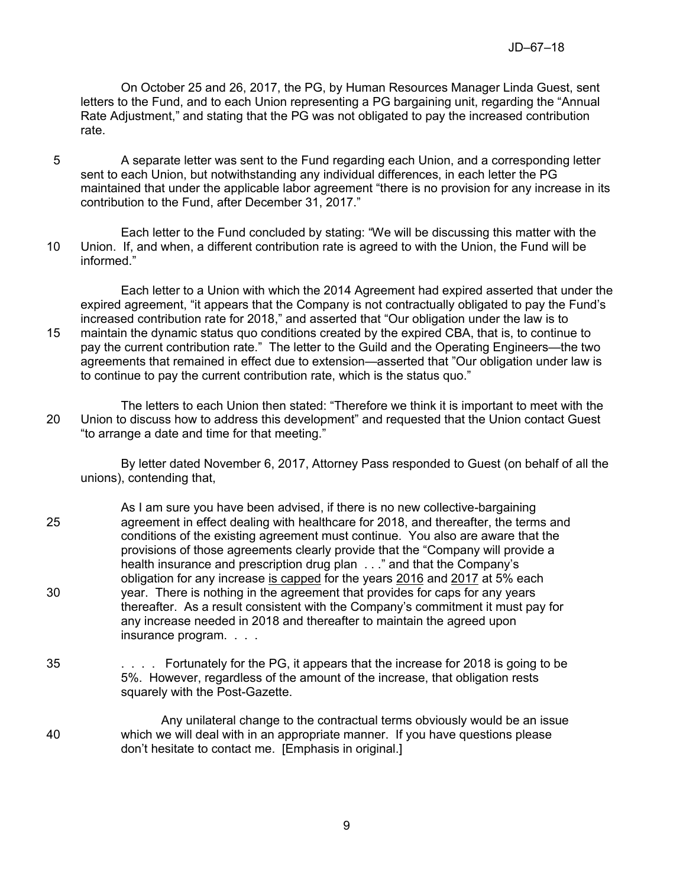On October 25 and 26, 2017, the PG, by Human Resources Manager Linda Guest, sent letters to the Fund, and to each Union representing a PG bargaining unit, regarding the "Annual Rate Adjustment," and stating that the PG was not obligated to pay the increased contribution rate.

- 5 A separate letter was sent to the Fund regarding each Union, and a corresponding letter sent to each Union, but notwithstanding any individual differences, in each letter the PG maintained that under the applicable labor agreement "there is no provision for any increase in its contribution to the Fund, after December 31, 2017."
- Each letter to the Fund concluded by stating: "We will be discussing this matter with the 10 Union. If, and when, a different contribution rate is agreed to with the Union, the Fund will be informed."

Each letter to a Union with which the 2014 Agreement had expired asserted that under the expired agreement, "it appears that the Company is not contractually obligated to pay the Fund's increased contribution rate for 2018," and asserted that "Our obligation under the law is to 15 maintain the dynamic status quo conditions created by the expired CBA, that is, to continue to pay the current contribution rate." The letter to the Guild and the Operating Engineers—the two agreements that remained in effect due to extension—asserted that "Our obligation under law is to continue to pay the current contribution rate, which is the status quo."

The letters to each Union then stated: "Therefore we think it is important to meet with the 20 Union to discuss how to address this development" and requested that the Union contact Guest "to arrange a date and time for that meeting."

By letter dated November 6, 2017, Attorney Pass responded to Guest (on behalf of all the unions), contending that,

- As I am sure you have been advised, if there is no new collective-bargaining 25 agreement in effect dealing with healthcare for 2018, and thereafter, the terms and conditions of the existing agreement must continue. You also are aware that the provisions of those agreements clearly provide that the "Company will provide a health insurance and prescription drug plan . . ." and that the Company's obligation for any increase is capped for the years 2016 and 2017 at 5% each 30 year. There is nothing in the agreement that provides for caps for any years thereafter. As a result consistent with the Company's commitment it must pay for any increase needed in 2018 and thereafter to maintain the agreed upon insurance program. . . .
- 35 . . . . Fortunately for the PG, it appears that the increase for 2018 is going to be 5%. However, regardless of the amount of the increase, that obligation rests squarely with the Post-Gazette.
- Any unilateral change to the contractual terms obviously would be an issue 40 which we will deal with in an appropriate manner. If you have questions please don't hesitate to contact me. [Emphasis in original.]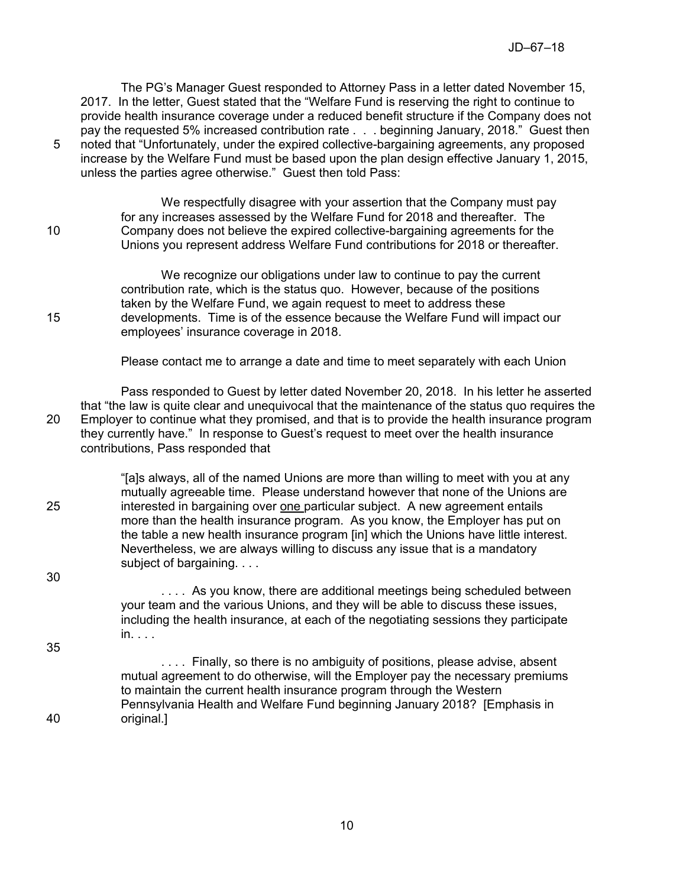The PG's Manager Guest responded to Attorney Pass in a letter dated November 15, 2017. In the letter, Guest stated that the "Welfare Fund is reserving the right to continue to provide health insurance coverage under a reduced benefit structure if the Company does not pay the requested 5% increased contribution rate . . . beginning January, 2018." Guest then 5 noted that "Unfortunately, under the expired collective-bargaining agreements, any proposed increase by the Welfare Fund must be based upon the plan design effective January 1, 2015, unless the parties agree otherwise." Guest then told Pass:

We respectfully disagree with your assertion that the Company must pay for any increases assessed by the Welfare Fund for 2018 and thereafter. The 10 Company does not believe the expired collective-bargaining agreements for the Unions you represent address Welfare Fund contributions for 2018 or thereafter.

We recognize our obligations under law to continue to pay the current contribution rate, which is the status quo. However, because of the positions taken by the Welfare Fund, we again request to meet to address these 15 developments. Time is of the essence because the Welfare Fund will impact our employees' insurance coverage in 2018.

Please contact me to arrange a date and time to meet separately with each Union

Pass responded to Guest by letter dated November 20, 2018. In his letter he asserted that "the law is quite clear and unequivocal that the maintenance of the status quo requires the 20 Employer to continue what they promised, and that is to provide the health insurance program they currently have." In response to Guest's request to meet over the health insurance contributions, Pass responded that

"[a]s always, all of the named Unions are more than willing to meet with you at any mutually agreeable time. Please understand however that none of the Unions are 25 interested in bargaining over one particular subject. A new agreement entails more than the health insurance program. As you know, the Employer has put on the table a new health insurance program [in] which the Unions have little interest. Nevertheless, we are always willing to discuss any issue that is a mandatory subject of bargaining. . . .

30

35

.... As you know, there are additional meetings being scheduled between your team and the various Unions, and they will be able to discuss these issues, including the health insurance, at each of the negotiating sessions they participate in. . . .

.... Finally, so there is no ambiguity of positions, please advise, absent mutual agreement to do otherwise, will the Employer pay the necessary premiums to maintain the current health insurance program through the Western Pennsylvania Health and Welfare Fund beginning January 2018? [Emphasis in 40 original.]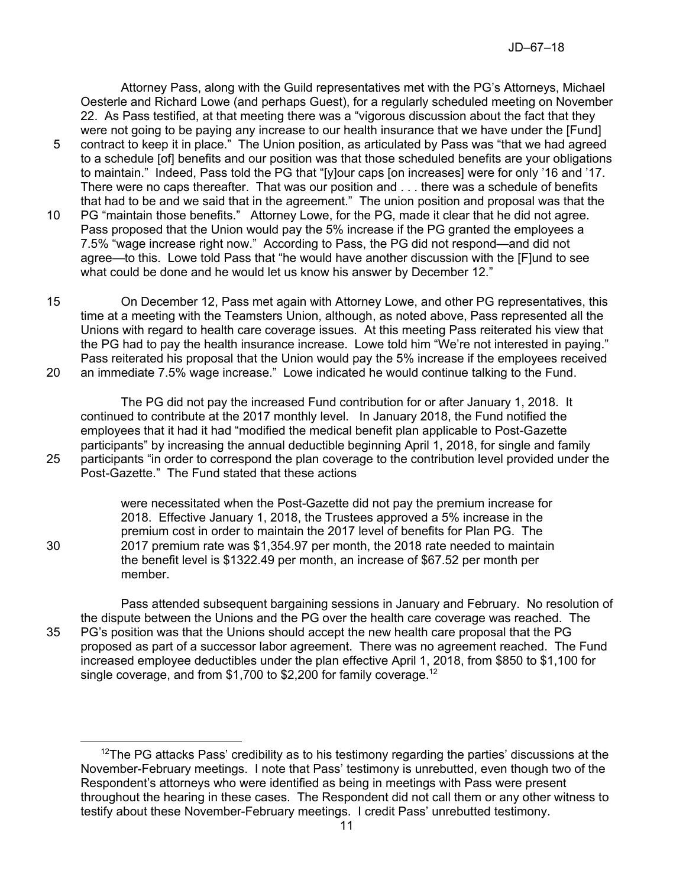Attorney Pass, along with the Guild representatives met with the PG's Attorneys, Michael Oesterle and Richard Lowe (and perhaps Guest), for a regularly scheduled meeting on November 22. As Pass testified, at that meeting there was a "vigorous discussion about the fact that they were not going to be paying any increase to our health insurance that we have under the [Fund]

- 5 contract to keep it in place." The Union position, as articulated by Pass was "that we had agreed to a schedule [of] benefits and our position was that those scheduled benefits are your obligations to maintain." Indeed, Pass told the PG that "[y]our caps [on increases] were for only '16 and '17. There were no caps thereafter. That was our position and . . . there was a schedule of benefits that had to be and we said that in the agreement." The union position and proposal was that the
- 10 PG "maintain those benefits." Attorney Lowe, for the PG, made it clear that he did not agree. Pass proposed that the Union would pay the 5% increase if the PG granted the employees a 7.5% "wage increase right now." According to Pass, the PG did not respond—and did not agree—to this. Lowe told Pass that "he would have another discussion with the [F]und to see what could be done and he would let us know his answer by December 12."
- 15 On December 12, Pass met again with Attorney Lowe, and other PG representatives, this time at a meeting with the Teamsters Union, although, as noted above, Pass represented all the Unions with regard to health care coverage issues. At this meeting Pass reiterated his view that the PG had to pay the health insurance increase. Lowe told him "We're not interested in paying." Pass reiterated his proposal that the Union would pay the 5% increase if the employees received 20 an immediate 7.5% wage increase." Lowe indicated he would continue talking to the Fund.

The PG did not pay the increased Fund contribution for or after January 1, 2018. It continued to contribute at the 2017 monthly level. In January 2018, the Fund notified the employees that it had it had "modified the medical benefit plan applicable to Post-Gazette participants" by increasing the annual deductible beginning April 1, 2018, for single and family 25 participants "in order to correspond the plan coverage to the contribution level provided under the Post-Gazette." The Fund stated that these actions

were necessitated when the Post-Gazette did not pay the premium increase for 2018. Effective January 1, 2018, the Trustees approved a 5% increase in the premium cost in order to maintain the 2017 level of benefits for Plan PG. The 30 2017 premium rate was \$1,354.97 per month, the 2018 rate needed to maintain the benefit level is \$1322.49 per month, an increase of \$67.52 per month per member.

Pass attended subsequent bargaining sessions in January and February. No resolution of the dispute between the Unions and the PG over the health care coverage was reached. The 35 PG's position was that the Unions should accept the new health care proposal that the PG proposed as part of a successor labor agreement. There was no agreement reached. The Fund increased employee deductibles under the plan effective April 1, 2018, from \$850 to \$1,100 for single coverage, and from \$1,700 to \$2,200 for family coverage.<sup>12</sup>

 $\overline{a}$ 

 $12$ The PG attacks Pass' credibility as to his testimony regarding the parties' discussions at the November-February meetings. I note that Pass' testimony is unrebutted, even though two of the Respondent's attorneys who were identified as being in meetings with Pass were present throughout the hearing in these cases. The Respondent did not call them or any other witness to testify about these November-February meetings. I credit Pass' unrebutted testimony.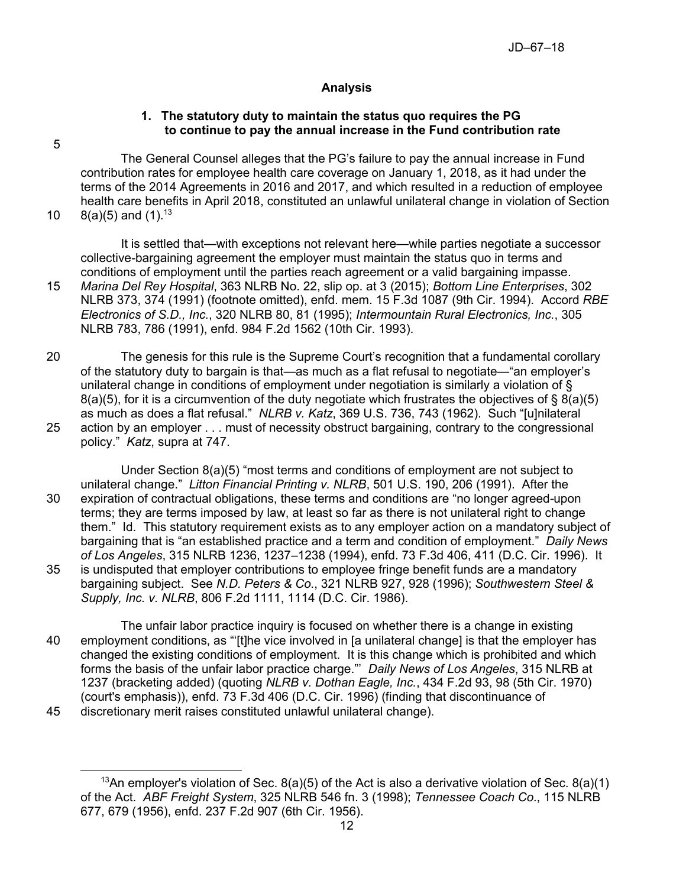# **Analysis**

## **1. The statutory duty to maintain the status quo requires the PG to continue to pay the annual increase in the Fund contribution rate**

5

The General Counsel alleges that the PG's failure to pay the annual increase in Fund contribution rates for employee health care coverage on January 1, 2018, as it had under the terms of the 2014 Agreements in 2016 and 2017, and which resulted in a reduction of employee health care benefits in April 2018, constituted an unlawful unilateral change in violation of Section

10  $8(a)(5)$  and  $(1).^{13}$ 

It is settled that—with exceptions not relevant here—while parties negotiate a successor collective-bargaining agreement the employer must maintain the status quo in terms and conditions of employment until the parties reach agreement or a valid bargaining impasse.

- 15 *Marina Del Rey Hospital*, 363 NLRB No. 22, slip op. at 3 (2015); *Bottom Line Enterprises*, 302 NLRB 373, 374 (1991) (footnote omitted), enfd. mem. 15 F.3d 1087 (9th Cir. 1994). Accord *RBE Electronics of S.D., Inc.*, 320 NLRB 80, 81 (1995); *Intermountain Rural Electronics, Inc.*, 305 NLRB 783, 786 (1991), enfd. 984 F.2d 1562 (10th Cir. 1993).
- 20 The genesis for this rule is the Supreme Court's recognition that a fundamental corollary of the statutory duty to bargain is that—as much as a flat refusal to negotiate—"an employer's unilateral change in conditions of employment under negotiation is similarly a violation of § 8(a)(5), for it is a circumvention of the duty negotiate which frustrates the objectives of § 8(a)(5) as much as does a flat refusal." *NLRB v. Katz*, 369 U.S. 736, 743 (1962). Such "[u]nilateral 25 action by an employer . . . must of necessity obstruct bargaining, contrary to the congressional
- policy." *Katz*, supra at 747.

Under Section 8(a)(5) "most terms and conditions of employment are not subject to unilateral change." *Litton Financial Printing v. NLRB*, 501 U.S. 190, 206 (1991). After the 30 expiration of contractual obligations, these terms and conditions are "no longer agreed-upon terms; they are terms imposed by law, at least so far as there is not unilateral right to change them." Id. This statutory requirement exists as to any employer action on a mandatory subject of bargaining that is "an established practice and a term and condition of employment." *Daily News of Los Angeles*, 315 NLRB 1236, 1237–1238 (1994), enfd. 73 F.3d 406, 411 (D.C. Cir. 1996). It 35 is undisputed that employer contributions to employee fringe benefit funds are a mandatory bargaining subject. See *N.D. Peters & Co.*, 321 NLRB 927, 928 (1996); *Southwestern Steel & Supply, Inc. v. NLRB*, 806 F.2d 1111, 1114 (D.C. Cir. 1986).

The unfair labor practice inquiry is focused on whether there is a change in existing 40 employment conditions, as "'[t]he vice involved in [a unilateral change] is that the employer has changed the existing conditions of employment. It is this change which is prohibited and which forms the basis of the unfair labor practice charge."' *Daily News of Los Angeles*, 315 NLRB at 1237 (bracketing added) (quoting *NLRB v. Dothan Eagle, Inc.*, 434 F.2d 93, 98 (5th Cir. 1970) (court's emphasis)), enfd. 73 F.3d 406 (D.C. Cir. 1996) (finding that discontinuance of

<sup>45</sup> discretionary merit raises constituted unlawful unilateral change).

 $\overline{a}$ <sup>13</sup>An employer's violation of Sec.  $8(a)(5)$  of the Act is also a derivative violation of Sec.  $8(a)(1)$ of the Act. *ABF Freight System*, 325 NLRB 546 fn. 3 (1998); *Tennessee Coach Co.*, 115 NLRB 677, 679 (1956), enfd. 237 F.2d 907 (6th Cir. 1956).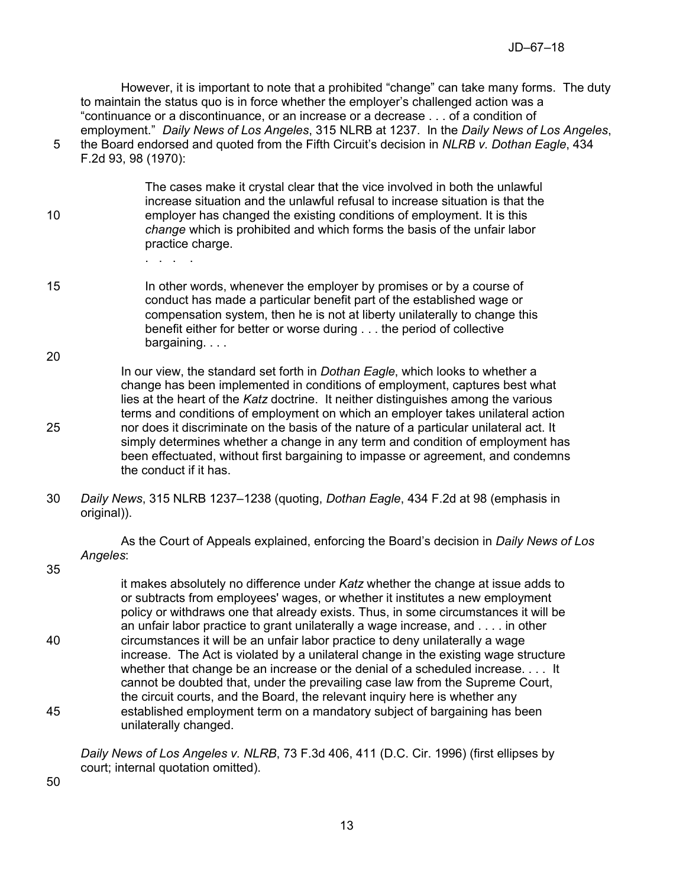However, it is important to note that a prohibited "change" can take many forms. The duty to maintain the status quo is in force whether the employer's challenged action was a "continuance or a discontinuance, or an increase or a decrease . . . of a condition of employment." *Daily News of Los Angeles*, 315 NLRB at 1237. In the *Daily News of Los Angeles*, 5 the Board endorsed and quoted from the Fifth Circuit's decision in *NLRB v. Dothan Eagle*, 434

F.2d 93, 98 (1970):

The cases make it crystal clear that the vice involved in both the unlawful increase situation and the unlawful refusal to increase situation is that the 10 employer has changed the existing conditions of employment. It is this *change* which is prohibited and which forms the basis of the unfair labor practice charge.

- . . . .
- 15 In other words, whenever the employer by promises or by a course of conduct has made a particular benefit part of the established wage or compensation system, then he is not at liberty unilaterally to change this benefit either for better or worse during . . . the period of collective bargaining. . . . 20

In our view, the standard set forth in *Dothan Eagle*, which looks to whether a change has been implemented in conditions of employment, captures best what lies at the heart of the *Katz* doctrine. It neither distinguishes among the various terms and conditions of employment on which an employer takes unilateral action 25 nor does it discriminate on the basis of the nature of a particular unilateral act. It simply determines whether a change in any term and condition of employment has been effectuated, without first bargaining to impasse or agreement, and condemns the conduct if it has.

30 *Daily News*, 315 NLRB 1237–1238 (quoting, *Dothan Eagle*, 434 F.2d at 98 (emphasis in original)).

As the Court of Appeals explained, enforcing the Board's decision in *Daily News of Los Angeles*:

35

it makes absolutely no difference under *Katz* whether the change at issue adds to or subtracts from employees' wages, or whether it institutes a new employment policy or withdraws one that already exists. Thus, in some circumstances it will be an unfair labor practice to grant unilaterally a wage increase, and . . . . in other 40 circumstances it will be an unfair labor practice to deny unilaterally a wage increase. The Act is violated by a unilateral change in the existing wage structure whether that change be an increase or the denial of a scheduled increase. . . . It cannot be doubted that, under the prevailing case law from the Supreme Court, the circuit courts, and the Board, the relevant inquiry here is whether any 45 established employment term on a mandatory subject of bargaining has been unilaterally changed.

*Daily News of Los Angeles v. NLRB*, 73 F.3d 406, 411 (D.C. Cir. 1996) (first ellipses by court; internal quotation omitted).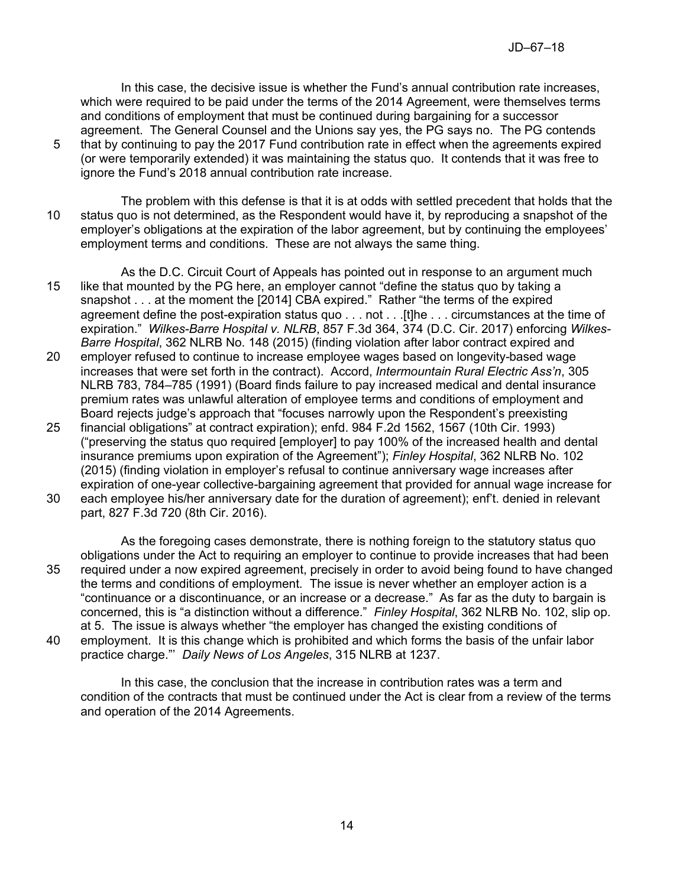In this case, the decisive issue is whether the Fund's annual contribution rate increases, which were required to be paid under the terms of the 2014 Agreement, were themselves terms and conditions of employment that must be continued during bargaining for a successor agreement. The General Counsel and the Unions say yes, the PG says no. The PG contends

- 5 that by continuing to pay the 2017 Fund contribution rate in effect when the agreements expired (or were temporarily extended) it was maintaining the status quo. It contends that it was free to ignore the Fund's 2018 annual contribution rate increase.
- The problem with this defense is that it is at odds with settled precedent that holds that the 10 status quo is not determined, as the Respondent would have it, by reproducing a snapshot of the employer's obligations at the expiration of the labor agreement, but by continuing the employees' employment terms and conditions. These are not always the same thing.
- As the D.C. Circuit Court of Appeals has pointed out in response to an argument much 15 like that mounted by the PG here, an employer cannot "define the status quo by taking a snapshot . . . at the moment the [2014] CBA expired." Rather "the terms of the expired agreement define the post-expiration status quo . . . not . . . [t]he . . . circumstances at the time of expiration." *Wilkes-Barre Hospital v. NLRB*, 857 F.3d 364, 374 (D.C. Cir. 2017) enforcing *Wilkes-Barre Hospital*, 362 NLRB No. 148 (2015) (finding violation after labor contract expired and 20 employer refused to continue to increase employee wages based on longevity-based wage increases that were set forth in the contract). Accord, *Intermountain Rural Electric Ass'n*, 305
- NLRB 783, 784–785 (1991) (Board finds failure to pay increased medical and dental insurance premium rates was unlawful alteration of employee terms and conditions of employment and Board rejects judge's approach that "focuses narrowly upon the Respondent's preexisting 25 financial obligations" at contract expiration); enfd. 984 F.2d 1562, 1567 (10th Cir. 1993)
- ("preserving the status quo required [employer] to pay 100% of the increased health and dental insurance premiums upon expiration of the Agreement"); *Finley Hospital*, 362 NLRB No. 102 (2015) (finding violation in employer's refusal to continue anniversary wage increases after expiration of one-year collective-bargaining agreement that provided for annual wage increase for
- 30 each employee his/her anniversary date for the duration of agreement); enf't. denied in relevant part, 827 F.3d 720 (8th Cir. 2016).
- As the foregoing cases demonstrate, there is nothing foreign to the statutory status quo obligations under the Act to requiring an employer to continue to provide increases that had been 35 required under a now expired agreement, precisely in order to avoid being found to have changed the terms and conditions of employment. The issue is never whether an employer action is a "continuance or a discontinuance, or an increase or a decrease." As far as the duty to bargain is concerned, this is "a distinction without a difference." *Finley Hospital*, 362 NLRB No. 102, slip op. at 5. The issue is always whether "the employer has changed the existing conditions of
- 40 employment. It is this change which is prohibited and which forms the basis of the unfair labor practice charge."' *Daily News of Los Angeles*, 315 NLRB at 1237.

In this case, the conclusion that the increase in contribution rates was a term and condition of the contracts that must be continued under the Act is clear from a review of the terms and operation of the 2014 Agreements.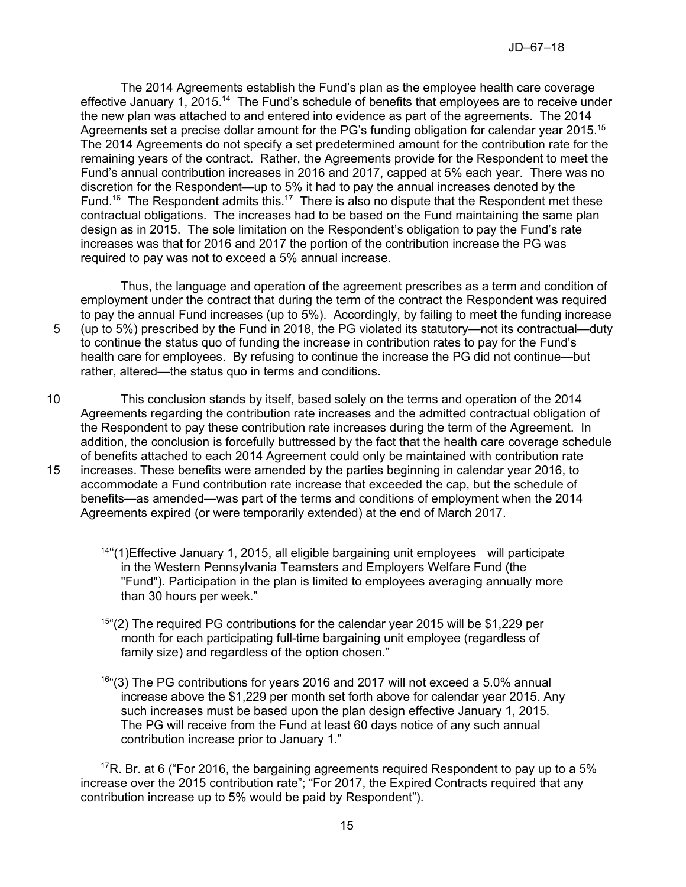The 2014 Agreements establish the Fund's plan as the employee health care coverage effective January 1, 2015.<sup>14</sup> The Fund's schedule of benefits that employees are to receive under the new plan was attached to and entered into evidence as part of the agreements. The 2014 Agreements set a precise dollar amount for the PG's funding obligation for calendar year 2015.<sup>15</sup> The 2014 Agreements do not specify a set predetermined amount for the contribution rate for the remaining years of the contract. Rather, the Agreements provide for the Respondent to meet the Fund's annual contribution increases in 2016 and 2017, capped at 5% each year. There was no discretion for the Respondent—up to 5% it had to pay the annual increases denoted by the Fund.<sup>16</sup> The Respondent admits this.<sup>17</sup> There is also no dispute that the Respondent met these contractual obligations. The increases had to be based on the Fund maintaining the same plan design as in 2015. The sole limitation on the Respondent's obligation to pay the Fund's rate increases was that for 2016 and 2017 the portion of the contribution increase the PG was required to pay was not to exceed a 5% annual increase.

Thus, the language and operation of the agreement prescribes as a term and condition of employment under the contract that during the term of the contract the Respondent was required to pay the annual Fund increases (up to 5%). Accordingly, by failing to meet the funding increase 5 (up to 5%) prescribed by the Fund in 2018, the PG violated its statutory—not its contractual—duty to continue the status quo of funding the increase in contribution rates to pay for the Fund's health care for employees. By refusing to continue the increase the PG did not continue—but rather, altered—the status quo in terms and conditions.

10 This conclusion stands by itself, based solely on the terms and operation of the 2014 Agreements regarding the contribution rate increases and the admitted contractual obligation of the Respondent to pay these contribution rate increases during the term of the Agreement. In addition, the conclusion is forcefully buttressed by the fact that the health care coverage schedule of benefits attached to each 2014 Agreement could only be maintained with contribution rate 15 increases. These benefits were amended by the parties beginning in calendar year 2016, to accommodate a Fund contribution rate increase that exceeded the cap, but the schedule of benefits—as amended—was part of the terms and conditions of employment when the 2014 Agreements expired (or were temporarily extended) at the end of March 2017.

- $15<sup>45</sup>$ (2) The required PG contributions for the calendar year 2015 will be \$1,229 per month for each participating full-time bargaining unit employee (regardless of family size) and regardless of the option chosen."
- 16 "(3) The PG contributions for years 2016 and 2017 will not exceed a 5.0% annual increase above the \$1,229 per month set forth above for calendar year 2015. Any such increases must be based upon the plan design effective January 1, 2015. The PG will receive from the Fund at least 60 days notice of any such annual contribution increase prior to January 1."

<sup>17</sup>R. Br. at 6 ("For 2016, the bargaining agreements required Respondent to pay up to a 5% increase over the 2015 contribution rate"; "For 2017, the Expired Contracts required that any contribution increase up to 5% would be paid by Respondent").

<sup>&</sup>lt;sup>14"</sup>(1) Effective January 1, 2015, all eligible bargaining unit employees will participate in the Western Pennsylvania Teamsters and Employers Welfare Fund (the "Fund"). Participation in the plan is limited to employees averaging annually more than 30 hours per week."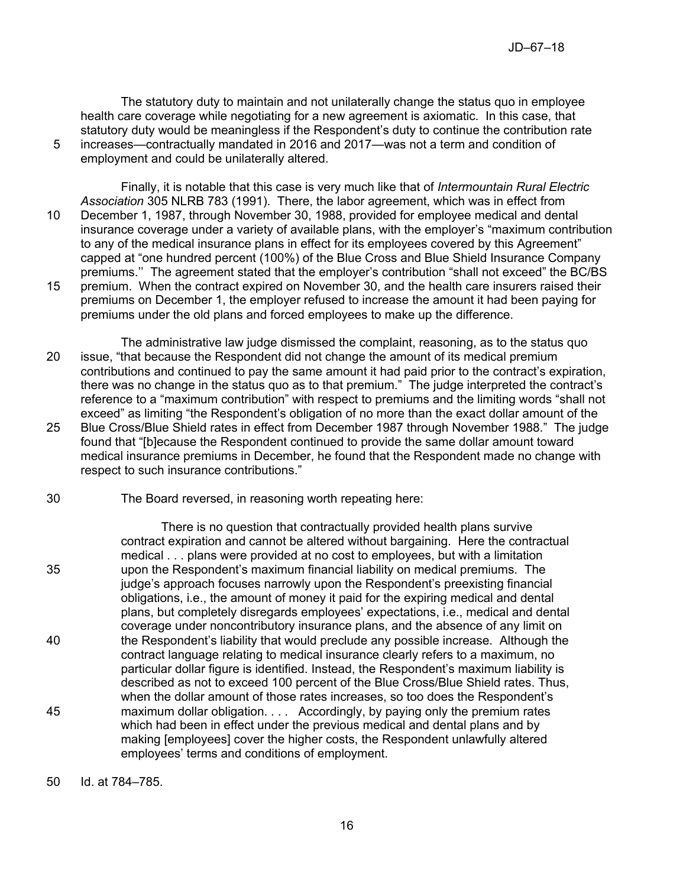The statutory duty to maintain and not unilaterally change the status quo in employee health care coverage while negotiating for a new agreement is axiomatic. In this case, that statutory duty would be meaningless if the Respondent's duty to continue the contribution rate 5 increases—contractually mandated in 2016 and 2017—was not a term and condition of

employment and could be unilaterally altered.

Finally, it is notable that this case is very much like that of *Intermountain Rural Electric Association* 305 NLRB 783 (1991). There, the labor agreement, which was in effect from 10 December 1, 1987, through November 30, 1988, provided for employee medical and dental insurance coverage under a variety of available plans, with the employer's "maximum contribution to any of the medical insurance plans in effect for its employees covered by this Agreement" capped at "one hundred percent (100%) of the Blue Cross and Blue Shield Insurance Company premiums.'' The agreement stated that the employer's contribution "shall not exceed" the BC/BS 15 premium. When the contract expired on November 30, and the health care insurers raised their premiums on December 1, the employer refused to increase the amount it had been paying for

The administrative law judge dismissed the complaint, reasoning, as to the status quo 20 issue, "that because the Respondent did not change the amount of its medical premium contributions and continued to pay the same amount it had paid prior to the contract's expiration, there was no change in the status quo as to that premium." The judge interpreted the contract's reference to a "maximum contribution" with respect to premiums and the limiting words "shall not exceed" as limiting "the Respondent's obligation of no more than the exact dollar amount of the 25 Blue Cross/Blue Shield rates in effect from December 1987 through November 1988." The judge found that "[b]ecause the Respondent continued to provide the same dollar amount toward medical insurance premiums in December, he found that the Respondent made no change with respect to such insurance contributions."

premiums under the old plans and forced employees to make up the difference.

30 The Board reversed, in reasoning worth repeating here:

There is no question that contractually provided health plans survive contract expiration and cannot be altered without bargaining. Here the contractual medical . . . plans were provided at no cost to employees, but with a limitation 35 upon the Respondent's maximum financial liability on medical premiums. The judge's approach focuses narrowly upon the Respondent's preexisting financial obligations, i.e., the amount of money it paid for the expiring medical and dental plans, but completely disregards employees' expectations, i.e., medical and dental coverage under noncontributory insurance plans, and the absence of any limit on 40 the Respondent's liability that would preclude any possible increase. Although the contract language relating to medical insurance clearly refers to a maximum, no particular dollar figure is identified. Instead, the Respondent's maximum liability is described as not to exceed 100 percent of the Blue Cross/Blue Shield rates. Thus, when the dollar amount of those rates increases, so too does the Respondent's 45 maximum dollar obligation. . . . Accordingly, by paying only the premium rates which had been in effect under the previous medical and dental plans and by making [employees] cover the higher costs, the Respondent unlawfully altered employees' terms and conditions of employment.

50 Id. at 784–785.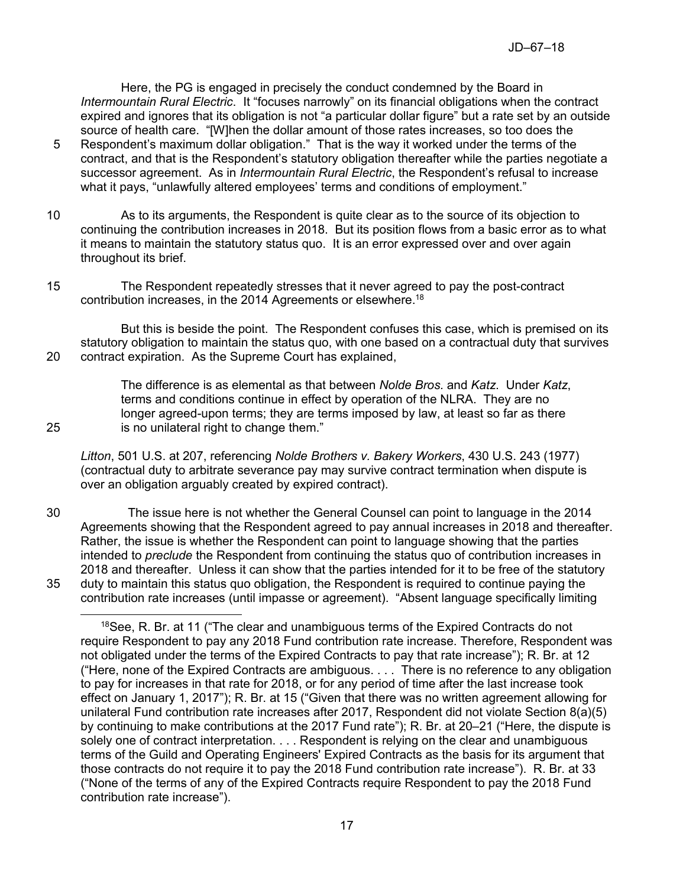Here, the PG is engaged in precisely the conduct condemned by the Board in *Intermountain Rural Electric*. It "focuses narrowly" on its financial obligations when the contract expired and ignores that its obligation is not "a particular dollar figure" but a rate set by an outside source of health care. "[W]hen the dollar amount of those rates increases, so too does the

- 5 Respondent's maximum dollar obligation." That is the way it worked under the terms of the contract, and that is the Respondent's statutory obligation thereafter while the parties negotiate a successor agreement. As in *Intermountain Rural Electric*, the Respondent's refusal to increase what it pays, "unlawfully altered employees' terms and conditions of employment."
- 10 As to its arguments, the Respondent is quite clear as to the source of its objection to continuing the contribution increases in 2018. But its position flows from a basic error as to what it means to maintain the statutory status quo. It is an error expressed over and over again throughout its brief.
- 15 The Respondent repeatedly stresses that it never agreed to pay the post-contract contribution increases, in the 2014 Agreements or elsewhere.<sup>18</sup>

But this is beside the point. The Respondent confuses this case, which is premised on its statutory obligation to maintain the status quo, with one based on a contractual duty that survives 20 contract expiration. As the Supreme Court has explained,

The difference is as elemental as that between *Nolde Bros.* and *Katz*. Under *Katz*, terms and conditions continue in effect by operation of the NLRA. They are no longer agreed-upon terms; they are terms imposed by law, at least so far as there 25 is no unilateral right to change them."

*Litton*, 501 U.S. at 207, referencing *Nolde Brothers v. Bakery Workers*, 430 U.S. 243 (1977) (contractual duty to arbitrate severance pay may survive contract termination when dispute is over an obligation arguably created by expired contract).

30 The issue here is not whether the General Counsel can point to language in the 2014 Agreements showing that the Respondent agreed to pay annual increases in 2018 and thereafter. Rather, the issue is whether the Respondent can point to language showing that the parties intended to *preclude* the Respondent from continuing the status quo of contribution increases in 2018 and thereafter. Unless it can show that the parties intended for it to be free of the statutory 35 duty to maintain this status quo obligation, the Respondent is required to continue paying the contribution rate increases (until impasse or agreement). "Absent language specifically limiting

 $18$ See, R. Br. at 11 ("The clear and unambiguous terms of the Expired Contracts do not require Respondent to pay any 2018 Fund contribution rate increase. Therefore, Respondent was not obligated under the terms of the Expired Contracts to pay that rate increase"); R. Br. at 12 ("Here, none of the Expired Contracts are ambiguous. . . . There is no reference to any obligation to pay for increases in that rate for 2018, or for any period of time after the last increase took effect on January 1, 2017"); R. Br. at 15 ("Given that there was no written agreement allowing for unilateral Fund contribution rate increases after 2017, Respondent did not violate Section 8(a)(5) by continuing to make contributions at the 2017 Fund rate"); R. Br. at 20–21 ("Here, the dispute is solely one of contract interpretation. . . . Respondent is relying on the clear and unambiguous terms of the Guild and Operating Engineers' Expired Contracts as the basis for its argument that those contracts do not require it to pay the 2018 Fund contribution rate increase"). R. Br. at 33 ("None of the terms of any of the Expired Contracts require Respondent to pay the 2018 Fund contribution rate increase").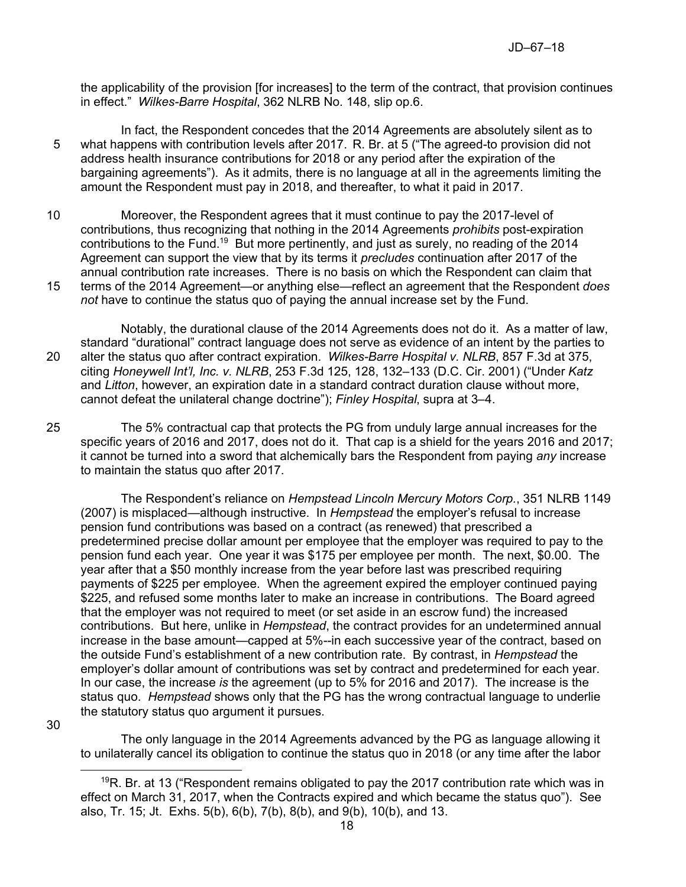the applicability of the provision [for increases] to the term of the contract, that provision continues in effect." *Wilkes-Barre Hospital*, 362 NLRB No. 148, slip op.6.

- In fact, the Respondent concedes that the 2014 Agreements are absolutely silent as to 5 what happens with contribution levels after 2017. R. Br. at 5 ("The agreed-to provision did not address health insurance contributions for 2018 or any period after the expiration of the bargaining agreements"). As it admits, there is no language at all in the agreements limiting the amount the Respondent must pay in 2018, and thereafter, to what it paid in 2017.
- 10 Moreover, the Respondent agrees that it must continue to pay the 2017-level of contributions, thus recognizing that nothing in the 2014 Agreements *prohibits* post-expiration contributions to the Fund.<sup>19</sup> But more pertinently, and just as surely, no reading of the 2014 Agreement can support the view that by its terms it *precludes* continuation after 2017 of the annual contribution rate increases. There is no basis on which the Respondent can claim that
- 15 terms of the 2014 Agreement—or anything else—reflect an agreement that the Respondent *does not* have to continue the status quo of paying the annual increase set by the Fund.

Notably, the durational clause of the 2014 Agreements does not do it. As a matter of law, standard "durational" contract language does not serve as evidence of an intent by the parties to 20 alter the status quo after contract expiration. *Wilkes-Barre Hospital v. NLRB*, 857 F.3d at 375, citing *Honeywell Int'l, Inc. v. NLRB*, 253 F.3d 125, 128, 132–133 (D.C. Cir. 2001) ("Under *Katz* and *Litton*, however, an expiration date in a standard contract duration clause without more, cannot defeat the unilateral change doctrine"); *Finley Hospital*, supra at 3–4.

25 The 5% contractual cap that protects the PG from unduly large annual increases for the specific years of 2016 and 2017, does not do it. That cap is a shield for the years 2016 and 2017; it cannot be turned into a sword that alchemically bars the Respondent from paying *any* increase to maintain the status quo after 2017.

The Respondent's reliance on *Hempstead Lincoln Mercury Motors Corp.*, 351 NLRB 1149 (2007) is misplaced—although instructive. In *Hempstead* the employer's refusal to increase pension fund contributions was based on a contract (as renewed) that prescribed a predetermined precise dollar amount per employee that the employer was required to pay to the pension fund each year. One year it was \$175 per employee per month. The next, \$0.00. The year after that a \$50 monthly increase from the year before last was prescribed requiring payments of \$225 per employee. When the agreement expired the employer continued paying \$225, and refused some months later to make an increase in contributions. The Board agreed that the employer was not required to meet (or set aside in an escrow fund) the increased contributions. But here, unlike in *Hempstead*, the contract provides for an undetermined annual increase in the base amount—capped at 5%--in each successive year of the contract, based on the outside Fund's establishment of a new contribution rate. By contrast, in *Hempstead* the employer's dollar amount of contributions was set by contract and predetermined for each year. In our case, the increase *is* the agreement (up to 5% for 2016 and 2017). The increase is the status quo. *Hempstead* shows only that the PG has the wrong contractual language to underlie the statutory status quo argument it pursues.

30

 $\overline{a}$ 

The only language in the 2014 Agreements advanced by the PG as language allowing it to unilaterally cancel its obligation to continue the status quo in 2018 (or any time after the labor

 $19R$ . Br. at 13 ("Respondent remains obligated to pay the 2017 contribution rate which was in effect on March 31, 2017, when the Contracts expired and which became the status quo"). See also, Tr. 15; Jt. Exhs. 5(b), 6(b), 7(b), 8(b), and 9(b), 10(b), and 13.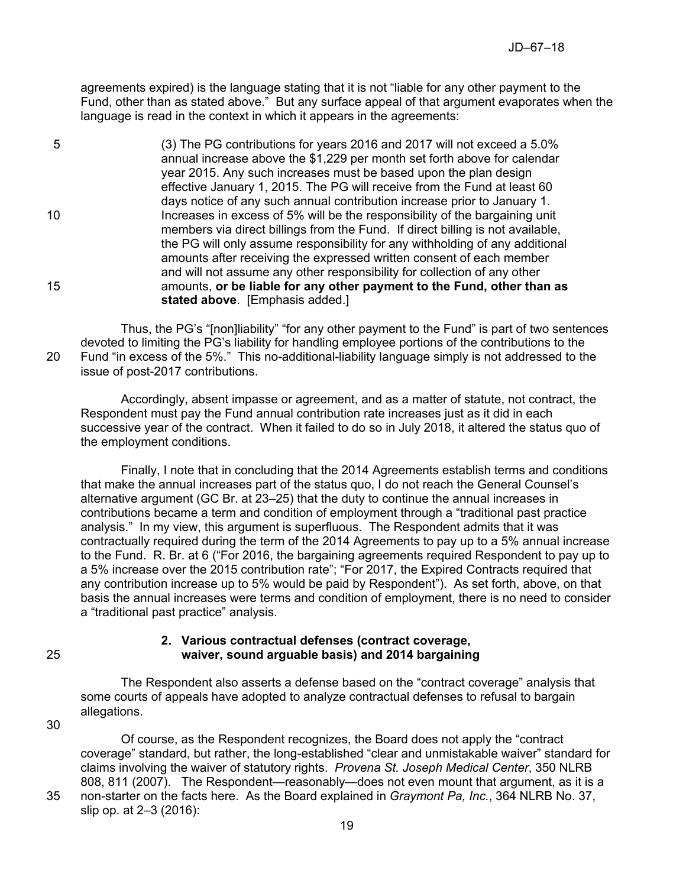agreements expired) is the language stating that it is not "liable for any other payment to the Fund, other than as stated above." But any surface appeal of that argument evaporates when the language is read in the context in which it appears in the agreements:

5 (3) The PG contributions for years 2016 and 2017 will not exceed a 5.0% annual increase above the \$1,229 per month set forth above for calendar year 2015. Any such increases must be based upon the plan design effective January 1, 2015. The PG will receive from the Fund at least 60 days notice of any such annual contribution increase prior to January 1. 10 Increases in excess of 5% will be the responsibility of the bargaining unit members via direct billings from the Fund. If direct billing is not available, the PG will only assume responsibility for any withholding of any additional amounts after receiving the expressed written consent of each member and will not assume any other responsibility for collection of any other 15 amounts, **or be liable for any other payment to the Fund, other than as stated above**. [Emphasis added.]

Thus, the PG's "[non]liability" "for any other payment to the Fund" is part of two sentences devoted to limiting the PG's liability for handling employee portions of the contributions to the 20 Fund "in excess of the 5%." This no-additional-liability language simply is not addressed to the issue of post-2017 contributions.

Accordingly, absent impasse or agreement, and as a matter of statute, not contract, the Respondent must pay the Fund annual contribution rate increases just as it did in each successive year of the contract. When it failed to do so in July 2018, it altered the status quo of the employment conditions.

Finally, I note that in concluding that the 2014 Agreements establish terms and conditions that make the annual increases part of the status quo, I do not reach the General Counsel's alternative argument (GC Br. at 23–25) that the duty to continue the annual increases in contributions became a term and condition of employment through a "traditional past practice analysis." In my view, this argument is superfluous. The Respondent admits that it was contractually required during the term of the 2014 Agreements to pay up to a 5% annual increase to the Fund. R. Br. at 6 ("For 2016, the bargaining agreements required Respondent to pay up to a 5% increase over the 2015 contribution rate"; "For 2017, the Expired Contracts required that any contribution increase up to 5% would be paid by Respondent"). As set forth, above, on that basis the annual increases were terms and condition of employment, there is no need to consider a "traditional past practice" analysis.

## **2. Various contractual defenses (contract coverage,**  25 **waiver, sound arguable basis) and 2014 bargaining**

The Respondent also asserts a defense based on the "contract coverage" analysis that some courts of appeals have adopted to analyze contractual defenses to refusal to bargain allegations.

30

Of course, as the Respondent recognizes, the Board does not apply the "contract coverage" standard, but rather, the long-established "clear and unmistakable waiver" standard for claims involving the waiver of statutory rights. *Provena St. Joseph Medical Center*, 350 NLRB 808, 811 (2007). The Respondent—reasonably—does not even mount that argument, as it is a 35 non-starter on the facts here. As the Board explained in *Graymont Pa, Inc.*, 364 NLRB No. 37, slip op. at 2–3 (2016):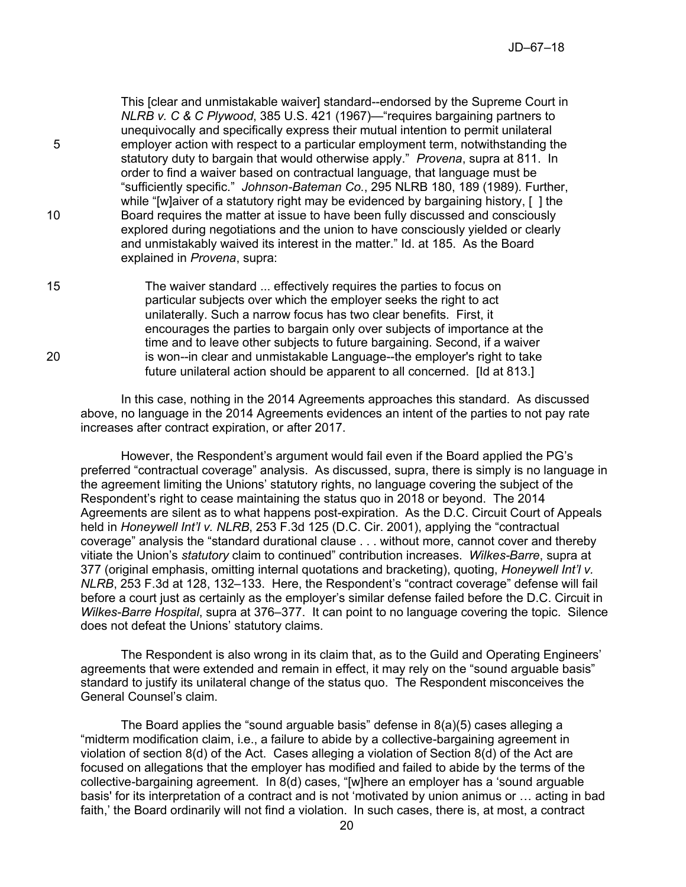This [clear and unmistakable waiver] standard--endorsed by the Supreme Court in *NLRB v. C & C Plywood*, 385 U.S. 421 (1967)—"requires bargaining partners to unequivocally and specifically express their mutual intention to permit unilateral 5 employer action with respect to a particular employment term, notwithstanding the statutory duty to bargain that would otherwise apply." *Provena*, supra at 811. In order to find a waiver based on contractual language, that language must be "sufficiently specific." *Johnson-Bateman Co.*, 295 NLRB 180, 189 (1989). Further, while "[w]aiver of a statutory right may be evidenced by bargaining history, [ ] the 10 Board requires the matter at issue to have been fully discussed and consciously explored during negotiations and the union to have consciously yielded or clearly and unmistakably waived its interest in the matter." Id. at 185. As the Board explained in *Provena*, supra:

15 The waiver standard ... effectively requires the parties to focus on particular subjects over which the employer seeks the right to act unilaterally. Such a narrow focus has two clear benefits. First, it encourages the parties to bargain only over subjects of importance at the time and to leave other subjects to future bargaining. Second, if a waiver 20 is won--in clear and unmistakable Language--the employer's right to take future unilateral action should be apparent to all concerned. [Id at 813.]

In this case, nothing in the 2014 Agreements approaches this standard. As discussed above, no language in the 2014 Agreements evidences an intent of the parties to not pay rate increases after contract expiration, or after 2017.

However, the Respondent's argument would fail even if the Board applied the PG's preferred "contractual coverage" analysis. As discussed, supra, there is simply is no language in the agreement limiting the Unions' statutory rights, no language covering the subject of the Respondent's right to cease maintaining the status quo in 2018 or beyond. The 2014 Agreements are silent as to what happens post-expiration. As the D.C. Circuit Court of Appeals held in *Honeywell Int'l v. NLRB*, 253 F.3d 125 (D.C. Cir. 2001), applying the "contractual coverage" analysis the "standard durational clause . . . without more, cannot cover and thereby vitiate the Union's *statutory* claim to continued" contribution increases. *Wilkes-Barre*, supra at 377 (original emphasis, omitting internal quotations and bracketing), quoting, *Honeywell Int'l v. NLRB*, 253 F.3d at 128, 132–133. Here, the Respondent's "contract coverage" defense will fail before a court just as certainly as the employer's similar defense failed before the D.C. Circuit in *Wilkes-Barre Hospital*, supra at 376–377. It can point to no language covering the topic. Silence does not defeat the Unions' statutory claims.

The Respondent is also wrong in its claim that, as to the Guild and Operating Engineers' agreements that were extended and remain in effect, it may rely on the "sound arguable basis" standard to justify its unilateral change of the status quo. The Respondent misconceives the General Counsel's claim.

The Board applies the "sound arguable basis" defense in 8(a)(5) cases alleging a "midterm modification claim, i.e., a failure to abide by a collective-bargaining agreement in violation of section 8(d) of the Act. Cases alleging a violation of Section 8(d) of the Act are focused on allegations that the employer has modified and failed to abide by the terms of the collective-bargaining agreement. In 8(d) cases, "[w]here an employer has a 'sound arguable basis' for its interpretation of a contract and is not 'motivated by union animus or … acting in bad faith,' the Board ordinarily will not find a violation. In such cases, there is, at most, a contract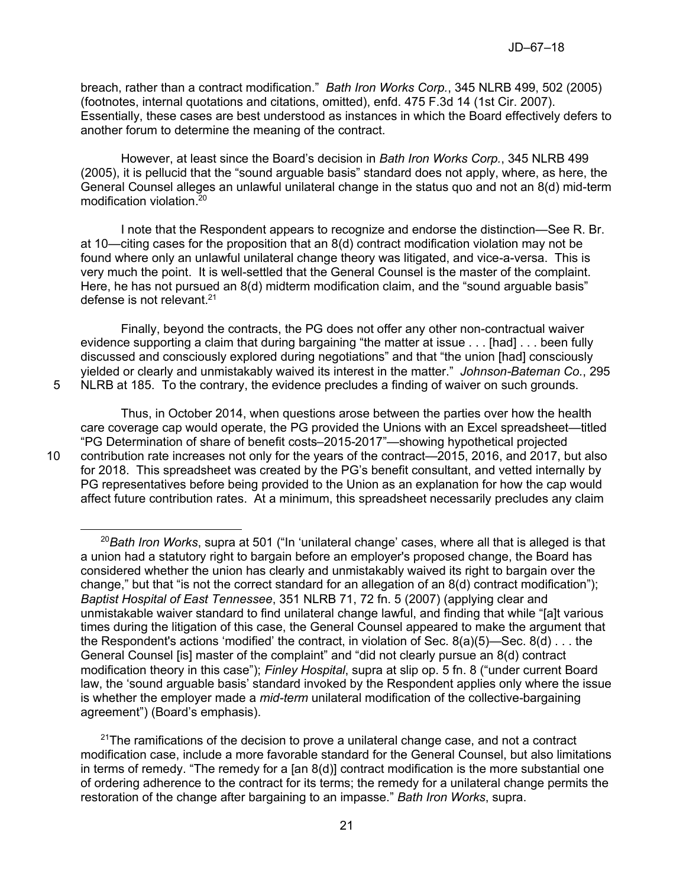breach, rather than a contract modification." *Bath Iron Works Corp.*, 345 NLRB 499, 502 (2005) (footnotes, internal quotations and citations, omitted), enfd. 475 F.3d 14 (1st Cir. 2007). Essentially, these cases are best understood as instances in which the Board effectively defers to another forum to determine the meaning of the contract.

However, at least since the Board's decision in *Bath Iron Works Corp.*, 345 NLRB 499 (2005), it is pellucid that the "sound arguable basis" standard does not apply, where, as here, the General Counsel alleges an unlawful unilateral change in the status quo and not an 8(d) mid-term modification violation. 20

I note that the Respondent appears to recognize and endorse the distinction—See R. Br. at 10—citing cases for the proposition that an 8(d) contract modification violation may not be found where only an unlawful unilateral change theory was litigated, and vice-a-versa. This is very much the point. It is well-settled that the General Counsel is the master of the complaint. Here, he has not pursued an 8(d) midterm modification claim, and the "sound arguable basis" defense is not relevant.<sup>21</sup>

Finally, beyond the contracts, the PG does not offer any other non-contractual waiver evidence supporting a claim that during bargaining "the matter at issue . . . [had] . . . been fully discussed and consciously explored during negotiations" and that "the union [had] consciously yielded or clearly and unmistakably waived its interest in the matter." *Johnson-Bateman Co.*, 295 5 NLRB at 185. To the contrary, the evidence precludes a finding of waiver on such grounds.

Thus, in October 2014, when questions arose between the parties over how the health care coverage cap would operate, the PG provided the Unions with an Excel spreadsheet—titled "PG Determination of share of benefit costs–2015-2017"—showing hypothetical projected 10 contribution rate increases not only for the years of the contract—2015, 2016, and 2017, but also for 2018. This spreadsheet was created by the PG's benefit consultant, and vetted internally by PG representatives before being provided to the Union as an explanation for how the cap would affect future contribution rates. At a minimum, this spreadsheet necessarily precludes any claim

 $\overline{a}$ 

<sup>20</sup>*Bath Iron Works*, supra at 501 ("In 'unilateral change' cases, where all that is alleged is that a union had a statutory right to bargain before an employer's proposed change, the Board has considered whether the union has clearly and unmistakably waived its right to bargain over the change," but that "is not the correct standard for an allegation of an 8(d) contract modification"); *Baptist Hospital of East Tennessee*, 351 NLRB 71, 72 fn. 5 (2007) (applying clear and unmistakable waiver standard to find unilateral change lawful, and finding that while "[a]t various times during the litigation of this case, the General Counsel appeared to make the argument that the Respondent's actions 'modified' the contract, in violation of Sec.  $8(a)(5)$ —Sec.  $8(d)$ ... the General Counsel [is] master of the complaint" and "did not clearly pursue an 8(d) contract modification theory in this case"); *Finley Hospital*, supra at slip op. 5 fn. 8 ("under current Board law, the 'sound arguable basis' standard invoked by the Respondent applies only where the issue is whether the employer made a *mid-term* unilateral modification of the collective-bargaining agreement") (Board's emphasis).

 $21$ The ramifications of the decision to prove a unilateral change case, and not a contract modification case, include a more favorable standard for the General Counsel, but also limitations in terms of remedy. "The remedy for a  $[an 8(d)]$  contract modification is the more substantial one of ordering adherence to the contract for its terms; the remedy for a unilateral change permits the restoration of the change after bargaining to an impasse." *Bath Iron Works*, supra.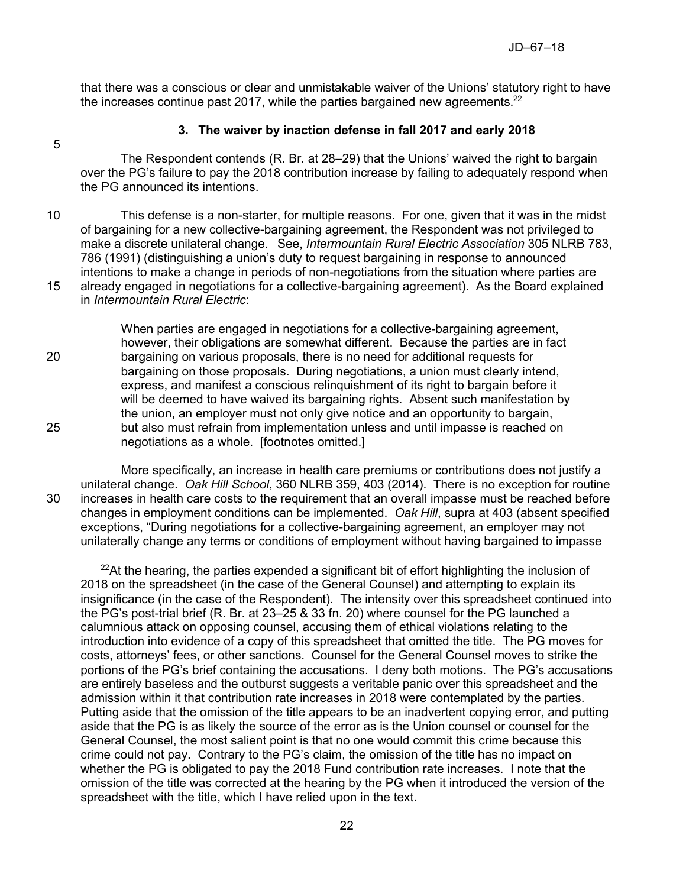that there was a conscious or clear and unmistakable waiver of the Unions' statutory right to have the increases continue past 2017, while the parties bargained new agreements.<sup>22</sup>

5

## **3. The waiver by inaction defense in fall 2017 and early 2018**

The Respondent contends (R. Br. at 28–29) that the Unions' waived the right to bargain over the PG's failure to pay the 2018 contribution increase by failing to adequately respond when the PG announced its intentions.

10 This defense is a non-starter, for multiple reasons. For one, given that it was in the midst of bargaining for a new collective-bargaining agreement, the Respondent was not privileged to make a discrete unilateral change. See, *Intermountain Rural Electric Association* 305 NLRB 783, 786 (1991) (distinguishing a union's duty to request bargaining in response to announced intentions to make a change in periods of non-negotiations from the situation where parties are 15 already engaged in negotiations for a collective-bargaining agreement). As the Board explained in *Intermountain Rural Electric*:

When parties are engaged in negotiations for a collective-bargaining agreement, however, their obligations are somewhat different. Because the parties are in fact 20 bargaining on various proposals, there is no need for additional requests for bargaining on those proposals. During negotiations, a union must clearly intend, express, and manifest a conscious relinquishment of its right to bargain before it will be deemed to have waived its bargaining rights. Absent such manifestation by the union, an employer must not only give notice and an opportunity to bargain, 25 but also must refrain from implementation unless and until impasse is reached on negotiations as a whole. [footnotes omitted.]

More specifically, an increase in health care premiums or contributions does not justify a unilateral change. *Oak Hill School*, 360 NLRB 359, 403 (2014). There is no exception for routine 30 increases in health care costs to the requirement that an overall impasse must be reached before changes in employment conditions can be implemented. *Oak Hill*, supra at 403 (absent specified exceptions, "During negotiations for a collective-bargaining agreement, an employer may not unilaterally change any terms or conditions of employment without having bargained to impasse 

 $22$ At the hearing, the parties expended a significant bit of effort highlighting the inclusion of 2018 on the spreadsheet (in the case of the General Counsel) and attempting to explain its insignificance (in the case of the Respondent). The intensity over this spreadsheet continued into the PG's post-trial brief (R. Br. at 23–25 & 33 fn. 20) where counsel for the PG launched a calumnious attack on opposing counsel, accusing them of ethical violations relating to the introduction into evidence of a copy of this spreadsheet that omitted the title. The PG moves for costs, attorneys' fees, or other sanctions. Counsel for the General Counsel moves to strike the portions of the PG's brief containing the accusations. I deny both motions. The PG's accusations are entirely baseless and the outburst suggests a veritable panic over this spreadsheet and the admission within it that contribution rate increases in 2018 were contemplated by the parties. Putting aside that the omission of the title appears to be an inadvertent copying error, and putting aside that the PG is as likely the source of the error as is the Union counsel or counsel for the General Counsel, the most salient point is that no one would commit this crime because this crime could not pay. Contrary to the PG's claim, the omission of the title has no impact on whether the PG is obligated to pay the 2018 Fund contribution rate increases. I note that the omission of the title was corrected at the hearing by the PG when it introduced the version of the spreadsheet with the title, which I have relied upon in the text.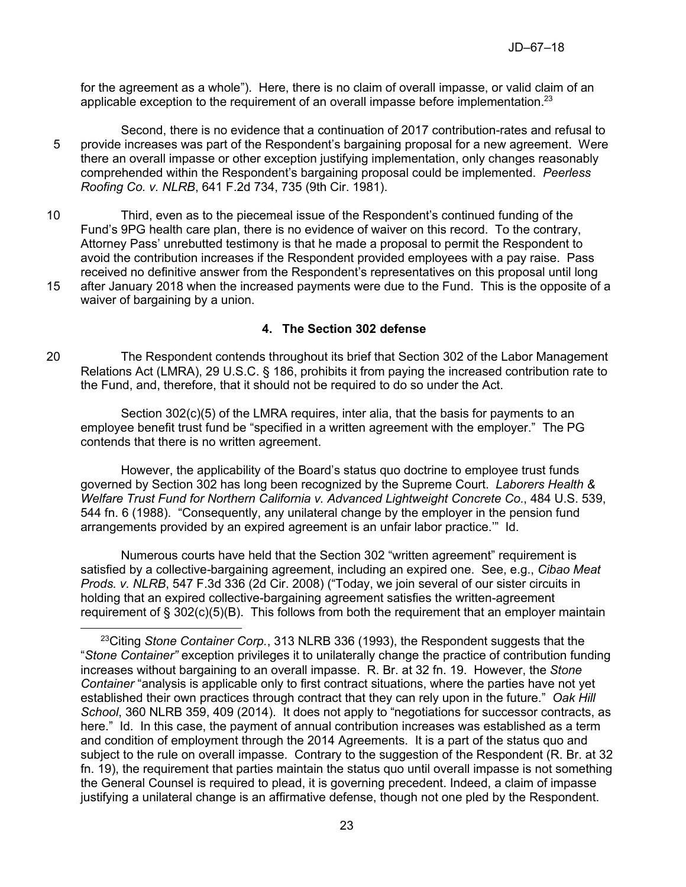for the agreement as a whole"). Here, there is no claim of overall impasse, or valid claim of an applicable exception to the requirement of an overall impasse before implementation.<sup>23</sup>

- Second, there is no evidence that a continuation of 2017 contribution-rates and refusal to 5 provide increases was part of the Respondent's bargaining proposal for a new agreement. Were there an overall impasse or other exception justifying implementation, only changes reasonably comprehended within the Respondent's bargaining proposal could be implemented. *Peerless Roofing Co. v. NLRB*, 641 F.2d 734, 735 (9th Cir. 1981).
- 10 Third, even as to the piecemeal issue of the Respondent's continued funding of the Fund's 9PG health care plan, there is no evidence of waiver on this record. To the contrary, Attorney Pass' unrebutted testimony is that he made a proposal to permit the Respondent to avoid the contribution increases if the Respondent provided employees with a pay raise. Pass received no definitive answer from the Respondent's representatives on this proposal until long
- 15 after January 2018 when the increased payments were due to the Fund. This is the opposite of a waiver of bargaining by a union.

## **4. The Section 302 defense**

20 The Respondent contends throughout its brief that Section 302 of the Labor Management Relations Act (LMRA), 29 U.S.C. § 186, prohibits it from paying the increased contribution rate to the Fund, and, therefore, that it should not be required to do so under the Act.

Section 302(c)(5) of the LMRA requires, inter alia, that the basis for payments to an employee benefit trust fund be "specified in a written agreement with the employer." The PG contends that there is no written agreement.

However, the applicability of the Board's status quo doctrine to employee trust funds governed by Section 302 has long been recognized by the Supreme Court. *Laborers Health & Welfare Trust Fund for Northern California v. Advanced Lightweight Concrete Co.*, 484 U.S. 539, 544 fn. 6 (1988). "Consequently, any unilateral change by the employer in the pension fund arrangements provided by an expired agreement is an unfair labor practice.'" Id.

Numerous courts have held that the Section 302 "written agreement" requirement is satisfied by a collective-bargaining agreement, including an expired one. See, e.g., *Cibao Meat Prods. v. NLRB*, 547 F.3d 336 (2d Cir. 2008) ("Today, we join several of our sister circuits in holding that an expired collective-bargaining agreement satisfies the written-agreement requirement of  $\S 302(c)(5)(B)$ . This follows from both the requirement that an employer maintain

<sup>23</sup>Citing *Stone Container Corp.*, 313 NLRB 336 (1993), the Respondent suggests that the "*Stone Container"* exception privileges it to unilaterally change the practice of contribution funding increases without bargaining to an overall impasse. R. Br. at 32 fn. 19. However, the *Stone Container* "analysis is applicable only to first contract situations, where the parties have not yet established their own practices through contract that they can rely upon in the future." *Oak Hill School*, 360 NLRB 359, 409 (2014). It does not apply to "negotiations for successor contracts, as here." Id. In this case, the payment of annual contribution increases was established as a term and condition of employment through the 2014 Agreements. It is a part of the status quo and subject to the rule on overall impasse. Contrary to the suggestion of the Respondent (R. Br. at 32 fn. 19), the requirement that parties maintain the status quo until overall impasse is not something the General Counsel is required to plead, it is governing precedent. Indeed, a claim of impasse justifying a unilateral change is an affirmative defense, though not one pled by the Respondent.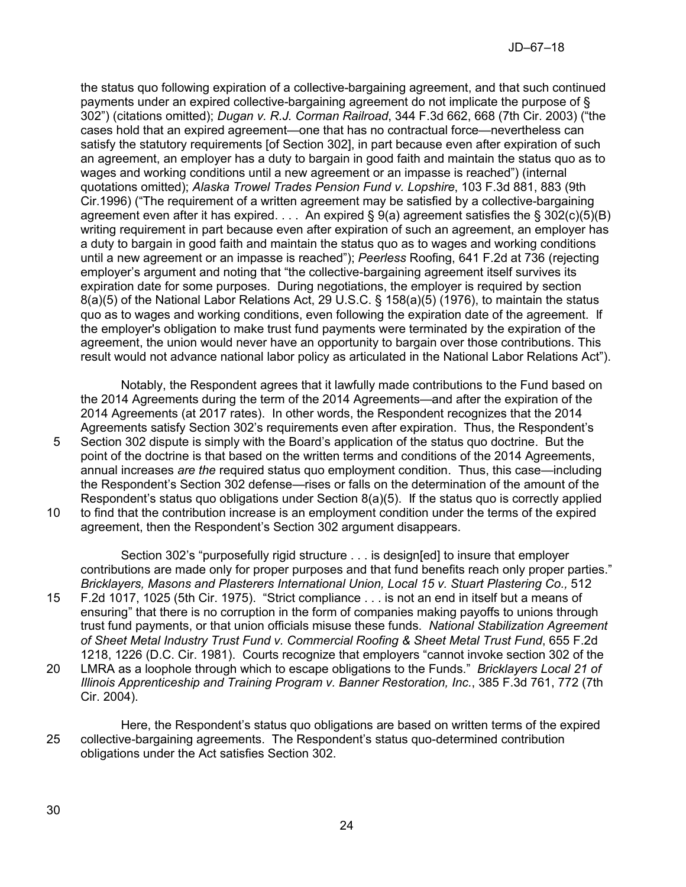the status quo following expiration of a collective-bargaining agreement, and that such continued payments under an expired collective-bargaining agreement do not implicate the purpose of § 302") (citations omitted); *Dugan v. R.J. Corman Railroad*, 344 F.3d 662, 668 (7th Cir. 2003) ("the cases hold that an expired agreement—one that has no contractual force—nevertheless can satisfy the statutory requirements [of Section 302], in part because even after expiration of such an agreement, an employer has a duty to bargain in good faith and maintain the status quo as to wages and working conditions until a new agreement or an impasse is reached") (internal quotations omitted); *Alaska Trowel Trades Pension Fund v. Lopshire*, 103 F.3d 881, 883 (9th Cir.1996) ("The requirement of a written agreement may be satisfied by a collective-bargaining agreement even after it has expired.  $\dots$  An expired § 9(a) agreement satisfies the § 302(c)(5)(B) writing requirement in part because even after expiration of such an agreement, an employer has a duty to bargain in good faith and maintain the status quo as to wages and working conditions until a new agreement or an impasse is reached"); *Peerless* Roofing, 641 F.2d at 736 (rejecting employer's argument and noting that "the collective-bargaining agreement itself survives its expiration date for some purposes. During negotiations, the employer is required by section 8(a)(5) of the National Labor Relations Act, 29 U.S.C. § 158(a)(5) (1976), to maintain the status quo as to wages and working conditions, even following the expiration date of the agreement. If the employer's obligation to make trust fund payments were terminated by the expiration of the agreement, the union would never have an opportunity to bargain over those contributions. This result would not advance national labor policy as articulated in the National Labor Relations Act").

Notably, the Respondent agrees that it lawfully made contributions to the Fund based on the 2014 Agreements during the term of the 2014 Agreements—and after the expiration of the 2014 Agreements (at 2017 rates). In other words, the Respondent recognizes that the 2014 Agreements satisfy Section 302's requirements even after expiration. Thus, the Respondent's 5 Section 302 dispute is simply with the Board's application of the status quo doctrine. But the point of the doctrine is that based on the written terms and conditions of the 2014 Agreements, annual increases *are the* required status quo employment condition. Thus, this case—including the Respondent's Section 302 defense—rises or falls on the determination of the amount of the Respondent's status quo obligations under Section 8(a)(5). If the status quo is correctly applied 10 to find that the contribution increase is an employment condition under the terms of the expired agreement, then the Respondent's Section 302 argument disappears.

Section 302's "purposefully rigid structure . . . is design[ed] to insure that employer contributions are made only for proper purposes and that fund benefits reach only proper parties." *Bricklayers, Masons and Plasterers International Union, Local 15 v. Stuart Plastering Co.,* 512

- 15 F.2d 1017, 1025 (5th Cir. 1975). "Strict compliance . . . is not an end in itself but a means of ensuring" that there is no corruption in the form of companies making payoffs to unions through trust fund payments, or that union officials misuse these funds. *National Stabilization Agreement of Sheet Metal Industry Trust Fund v. Commercial Roofing & Sheet Metal Trust Fund*, 655 F.2d 1218, 1226 (D.C. Cir. 1981). Courts recognize that employers "cannot invoke section 302 of the 20 LMRA as a loophole through which to escape obligations to the Funds." *Bricklayers Local 21 of Illinois Apprenticeship and Training Program v. Banner Restoration, Inc.*, 385 F.3d 761, 772 (7th Cir. 2004).
- Here, the Respondent's status quo obligations are based on written terms of the expired 25 collective-bargaining agreements. The Respondent's status quo-determined contribution obligations under the Act satisfies Section 302.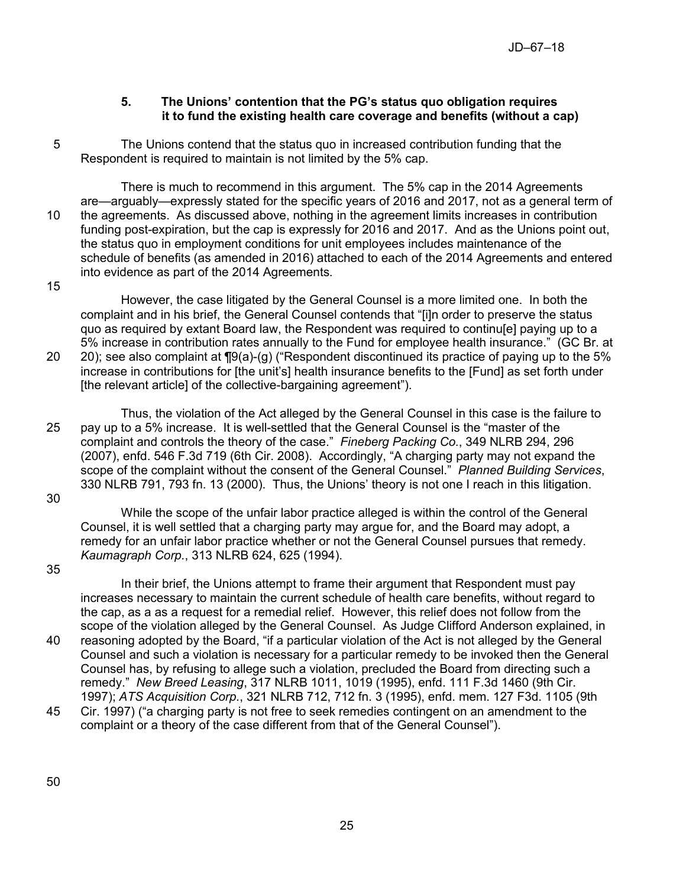## **5. The Unions' contention that the PG's status quo obligation requires it to fund the existing health care coverage and benefits (without a cap)**

5 The Unions contend that the status quo in increased contribution funding that the Respondent is required to maintain is not limited by the 5% cap.

There is much to recommend in this argument. The 5% cap in the 2014 Agreements are—arguably—expressly stated for the specific years of 2016 and 2017, not as a general term of 10 the agreements. As discussed above, nothing in the agreement limits increases in contribution funding post-expiration, but the cap is expressly for 2016 and 2017. And as the Unions point out, the status quo in employment conditions for unit employees includes maintenance of the schedule of benefits (as amended in 2016) attached to each of the 2014 Agreements and entered into evidence as part of the 2014 Agreements.

15

However, the case litigated by the General Counsel is a more limited one. In both the complaint and in his brief, the General Counsel contends that "[i]n order to preserve the status quo as required by extant Board law, the Respondent was required to continu[e] paying up to a 5% increase in contribution rates annually to the Fund for employee health insurance." (GC Br. at 20 20); see also complaint at ¶9(a)-(g) ("Respondent discontinued its practice of paying up to the 5% increase in contributions for [the unit's] health insurance benefits to the [Fund] as set forth under [the relevant article] of the collective-bargaining agreement").

Thus, the violation of the Act alleged by the General Counsel in this case is the failure to 25 pay up to a 5% increase. It is well-settled that the General Counsel is the "master of the complaint and controls the theory of the case." *Fineberg Packing Co.*, 349 NLRB 294, 296 (2007), enfd. 546 F.3d 719 (6th Cir. 2008). Accordingly, "A charging party may not expand the scope of the complaint without the consent of the General Counsel." *Planned Building Services*, 330 NLRB 791, 793 fn. 13 (2000). Thus, the Unions' theory is not one I reach in this litigation.

30

While the scope of the unfair labor practice alleged is within the control of the General Counsel, it is well settled that a charging party may argue for, and the Board may adopt, a remedy for an unfair labor practice whether or not the General Counsel pursues that remedy. *Kaumagraph Corp.*, 313 NLRB 624, 625 (1994).

35

In their brief, the Unions attempt to frame their argument that Respondent must pay increases necessary to maintain the current schedule of health care benefits, without regard to the cap, as a as a request for a remedial relief. However, this relief does not follow from the scope of the violation alleged by the General Counsel. As Judge Clifford Anderson explained, in

- 40 reasoning adopted by the Board, "if a particular violation of the Act is not alleged by the General Counsel and such a violation is necessary for a particular remedy to be invoked then the General Counsel has, by refusing to allege such a violation, precluded the Board from directing such a remedy." *New Breed Leasing*, 317 NLRB 1011, 1019 (1995), enfd. 111 F.3d 1460 (9th Cir. 1997); *ATS Acquisition Corp.*, 321 NLRB 712, 712 fn. 3 (1995), enfd. mem. 127 F3d. 1105 (9th
- 45 Cir. 1997) ("a charging party is not free to seek remedies contingent on an amendment to the complaint or a theory of the case different from that of the General Counsel").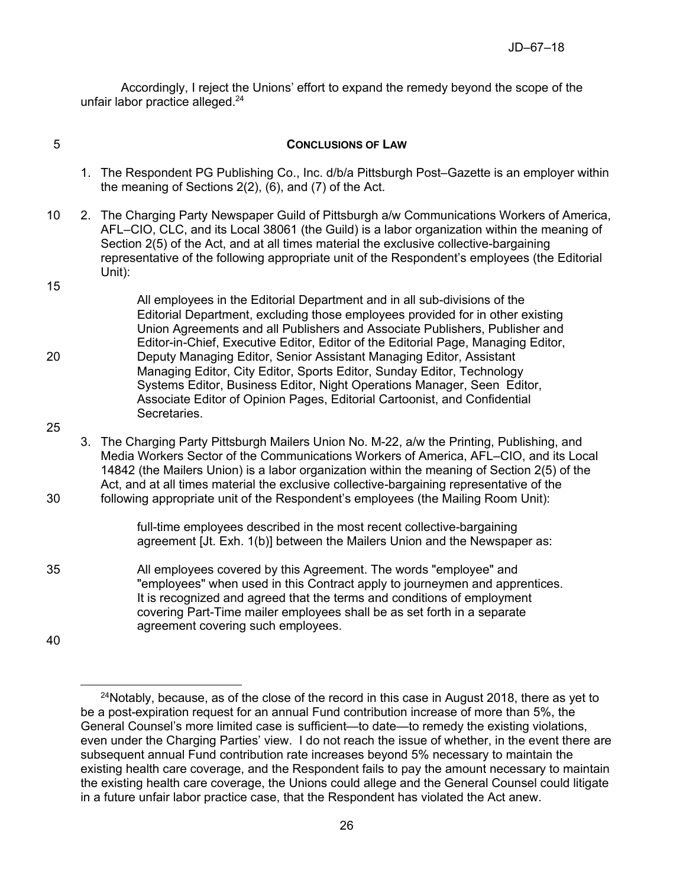Accordingly, I reject the Unions' effort to expand the remedy beyond the scope of the unfair labor practice alleged.<sup>24</sup>

## 5 **CONCLUSIONS OF LAW**

- 1. The Respondent PG Publishing Co., Inc. d/b/a Pittsburgh Post–Gazette is an employer within the meaning of Sections 2(2), (6), and (7) of the Act.
- 10 2. The Charging Party Newspaper Guild of Pittsburgh a/w Communications Workers of America, AFL–CIO, CLC, and its Local 38061 (the Guild) is a labor organization within the meaning of Section 2(5) of the Act, and at all times material the exclusive collective-bargaining representative of the following appropriate unit of the Respondent's employees (the Editorial Unit):
- All employees in the Editorial Department and in all sub-divisions of the Editorial Department, excluding those employees provided for in other existing Union Agreements and all Publishers and Associate Publishers, Publisher and Editor-in-Chief, Executive Editor, Editor of the Editorial Page, Managing Editor, 20 Deputy Managing Editor, Senior Assistant Managing Editor, Assistant Managing Editor, City Editor, Sports Editor, Sunday Editor, Technology Systems Editor, Business Editor, Night Operations Manager, Seen Editor, Associate Editor of Opinion Pages, Editorial Cartoonist, and Confidential Secretaries.
- 25

15

3. The Charging Party Pittsburgh Mailers Union No. M-22, a/w the Printing, Publishing, and Media Workers Sector of the Communications Workers of America, AFL–CIO, and its Local 14842 (the Mailers Union) is a labor organization within the meaning of Section 2(5) of the Act, and at all times material the exclusive collective-bargaining representative of the 30 following appropriate unit of the Respondent's employees (the Mailing Room Unit):

> full-time employees described in the most recent collective-bargaining agreement [Jt. Exh. 1(b)] between the Mailers Union and the Newspaper as:

35 All employees covered by this Agreement. The words "employee" and "employees" when used in this Contract apply to journeymen and apprentices. It is recognized and agreed that the terms and conditions of employment covering Part-Time mailer employees shall be as set forth in a separate agreement covering such employees.

40

 $24$ Notably, because, as of the close of the record in this case in August 2018, there as yet to be a post-expiration request for an annual Fund contribution increase of more than 5%, the General Counsel's more limited case is sufficient—to date—to remedy the existing violations, even under the Charging Parties' view. I do not reach the issue of whether, in the event there are subsequent annual Fund contribution rate increases beyond 5% necessary to maintain the existing health care coverage, and the Respondent fails to pay the amount necessary to maintain the existing health care coverage, the Unions could allege and the General Counsel could litigate in a future unfair labor practice case, that the Respondent has violated the Act anew.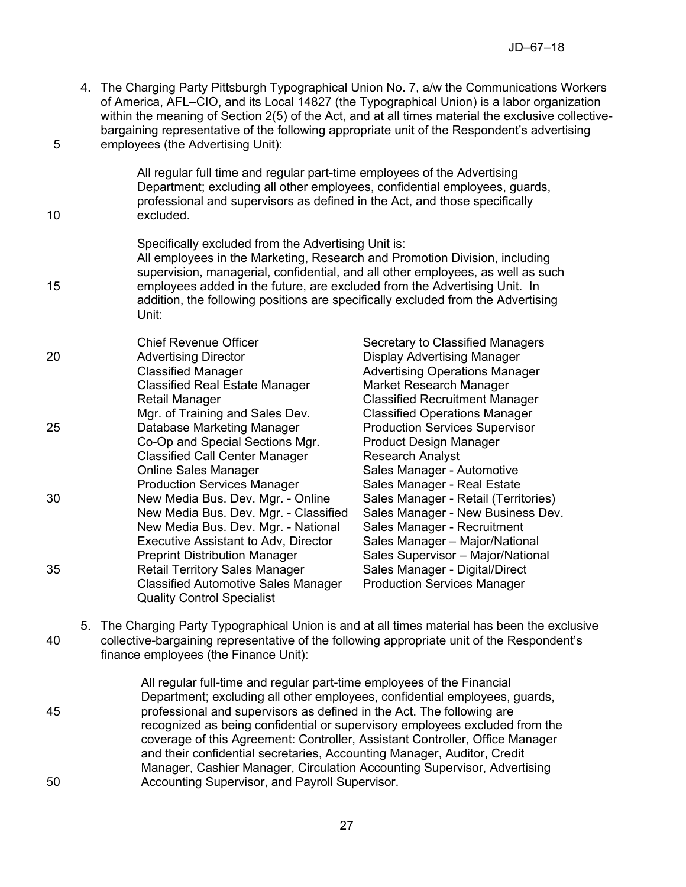4. The Charging Party Pittsburgh Typographical Union No. 7, a/w the Communications Workers of America, AFL–CIO, and its Local 14827 (the Typographical Union) is a labor organization within the meaning of Section 2(5) of the Act, and at all times material the exclusive collectivebargaining representative of the following appropriate unit of the Respondent's advertising 5 employees (the Advertising Unit):

All regular full time and regular part-time employees of the Advertising Department; excluding all other employees, confidential employees, guards, professional and supervisors as defined in the Act, and those specifically 10 excluded.

Specifically excluded from the Advertising Unit is: All employees in the Marketing, Research and Promotion Division, including supervision, managerial, confidential, and all other employees, as well as such 15 employees added in the future, are excluded from the Advertising Unit. In addition, the following positions are specifically excluded from the Advertising Unit:

Chief Revenue Officer Secretary to Classified Managers 20 Advertising Director Display Advertising Manager Classified Manager **Advertising Operations Manager** Classified Manager Classified Real Estate Manager Market Research Manager Retail Manager Classified Recruitment Manager Mgr. of Training and Sales Dev. Classified Operations Manager 25 Database Marketing Manager Production Services Supervisor Co-Op and Special Sections Mgr. Product Design Manager Classified Call Center Manager Research Analyst Online Sales Manager Sales Manager - Automotive Production Services Manager Sales Manager - Real Estate 30 New Media Bus. Dev. Mgr. - Online Sales Manager - Retail (Territories) New Media Bus. Dev. Mgr. - Classified Sales Manager - New Business Dev. New Media Bus. Dev. Mgr. - National Sales Manager - Recruitment Executive Assistant to Adv, Director Sales Manager – Major/National Preprint Distribution Manager Sales Supervisor – Major/National 35 **Retail Territory Sales Manager** Sales Manager - Digital/Direct Classified Automotive Sales Manager Production Services Manager Quality Control Specialist

5. The Charging Party Typographical Union is and at all times material has been the exclusive 40 collective-bargaining representative of the following appropriate unit of the Respondent's finance employees (the Finance Unit):

All regular full-time and regular part-time employees of the Financial Department; excluding all other employees, confidential employees, guards, 45 professional and supervisors as defined in the Act. The following are recognized as being confidential or supervisory employees excluded from the coverage of this Agreement: Controller, Assistant Controller, Office Manager and their confidential secretaries, Accounting Manager, Auditor, Credit Manager, Cashier Manager, Circulation Accounting Supervisor, Advertising 50 Accounting Supervisor, and Payroll Supervisor.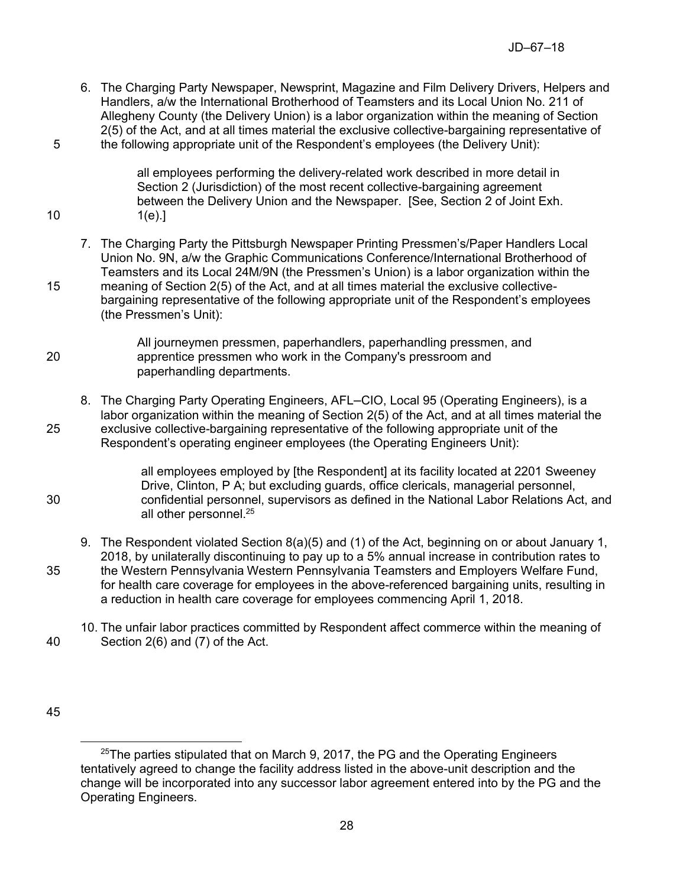6. The Charging Party Newspaper, Newsprint, Magazine and Film Delivery Drivers, Helpers and Handlers, a/w the International Brotherhood of Teamsters and its Local Union No. 211 of Allegheny County (the Delivery Union) is a labor organization within the meaning of Section 2(5) of the Act, and at all times material the exclusive collective-bargaining representative of 5 the following appropriate unit of the Respondent's employees (the Delivery Unit):

all employees performing the delivery-related work described in more detail in Section 2 (Jurisdiction) of the most recent collective-bargaining agreement between the Delivery Union and the Newspaper. [See, Section 2 of Joint Exh. 10 1(e).]

7. The Charging Party the Pittsburgh Newspaper Printing Pressmen's/Paper Handlers Local Union No. 9N, a/w the Graphic Communications Conference/International Brotherhood of Teamsters and its Local 24M/9N (the Pressmen's Union) is a labor organization within the 15 meaning of Section 2(5) of the Act, and at all times material the exclusive collectivebargaining representative of the following appropriate unit of the Respondent's employees (the Pressmen's Unit):

All journeymen pressmen, paperhandlers, paperhandling pressmen, and 20 apprentice pressmen who work in the Company's pressroom and paperhandling departments.

8. The Charging Party Operating Engineers, AFL–CIO, Local 95 (Operating Engineers), is a labor organization within the meaning of Section 2(5) of the Act, and at all times material the 25 exclusive collective-bargaining representative of the following appropriate unit of the Respondent's operating engineer employees (the Operating Engineers Unit):

all employees employed by [the Respondent] at its facility located at 2201 Sweeney Drive, Clinton, P A; but excluding guards, office clericals, managerial personnel, 30 confidential personnel, supervisors as defined in the National Labor Relations Act, and all other personnel.<sup>25</sup>

- 9. The Respondent violated Section 8(a)(5) and (1) of the Act, beginning on or about January 1, 2018, by unilaterally discontinuing to pay up to a 5% annual increase in contribution rates to 35 the Western Pennsylvania Western Pennsylvania Teamsters and Employers Welfare Fund, for health care coverage for employees in the above-referenced bargaining units, resulting in a reduction in health care coverage for employees commencing April 1, 2018.
- 10. The unfair labor practices committed by Respondent affect commerce within the meaning of 40 Section 2(6) and (7) of the Act.

 $\overline{a}$  $25$ The parties stipulated that on March 9, 2017, the PG and the Operating Engineers tentatively agreed to change the facility address listed in the above-unit description and the change will be incorporated into any successor labor agreement entered into by the PG and the Operating Engineers.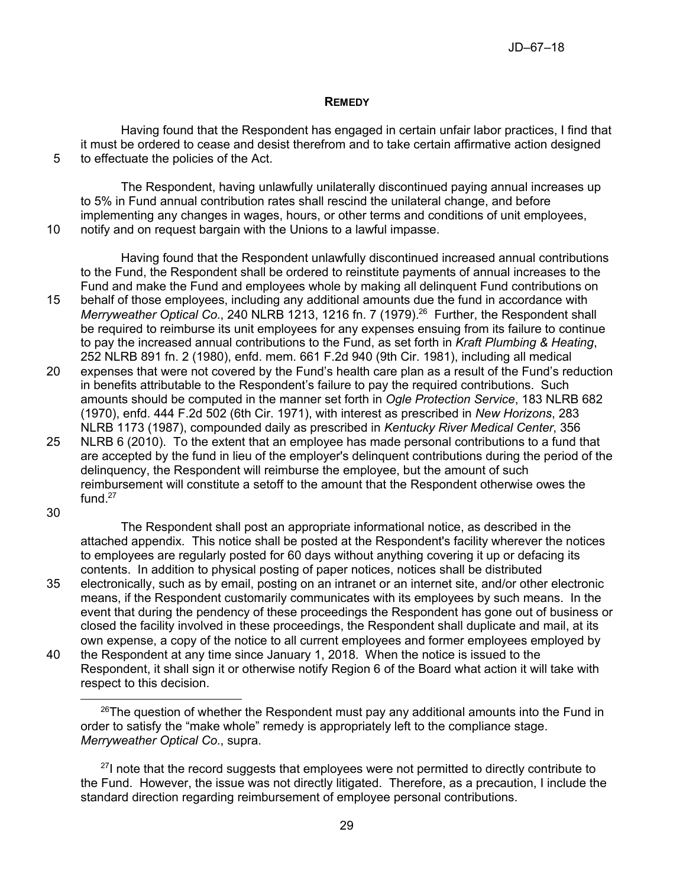### **REMEDY**

Having found that the Respondent has engaged in certain unfair labor practices, I find that it must be ordered to cease and desist therefrom and to take certain affirmative action designed 5 to effectuate the policies of the Act.

The Respondent, having unlawfully unilaterally discontinued paying annual increases up to 5% in Fund annual contribution rates shall rescind the unilateral change, and before implementing any changes in wages, hours, or other terms and conditions of unit employees, 10 notify and on request bargain with the Unions to a lawful impasse.

Having found that the Respondent unlawfully discontinued increased annual contributions to the Fund, the Respondent shall be ordered to reinstitute payments of annual increases to the Fund and make the Fund and employees whole by making all delinquent Fund contributions on

15 behalf of those employees, including any additional amounts due the fund in accordance with Merryweather Optical Co., 240 NLRB 1213, 1216 fn. 7 (1979).<sup>26</sup> Further, the Respondent shall be required to reimburse its unit employees for any expenses ensuing from its failure to continue to pay the increased annual contributions to the Fund, as set forth in *Kraft Plumbing & Heating*, 252 NLRB 891 fn. 2 (1980), enfd. mem. 661 F.2d 940 (9th Cir. 1981), including all medical

- 20 expenses that were not covered by the Fund's health care plan as a result of the Fund's reduction in benefits attributable to the Respondent's failure to pay the required contributions. Such amounts should be computed in the manner set forth in *Ogle Protection Service*, 183 NLRB 682 (1970), enfd. 444 F.2d 502 (6th Cir. 1971), with interest as prescribed in *New Horizons*, 283 NLRB 1173 (1987), compounded daily as prescribed in *Kentucky River Medical Center*, 356
- 25 NLRB 6 (2010). To the extent that an employee has made personal contributions to a fund that are accepted by the fund in lieu of the employer's delinquent contributions during the period of the delinquency, the Respondent will reimburse the employee, but the amount of such reimbursement will constitute a setoff to the amount that the Respondent otherwise owes the fund. $27$

30

The Respondent shall post an appropriate informational notice, as described in the attached appendix. This notice shall be posted at the Respondent's facility wherever the notices to employees are regularly posted for 60 days without anything covering it up or defacing its contents. In addition to physical posting of paper notices, notices shall be distributed

- 35 electronically, such as by email, posting on an intranet or an internet site, and/or other electronic means, if the Respondent customarily communicates with its employees by such means. In the event that during the pendency of these proceedings the Respondent has gone out of business or closed the facility involved in these proceedings, the Respondent shall duplicate and mail, at its own expense, a copy of the notice to all current employees and former employees employed by
- 40 the Respondent at any time since January 1, 2018. When the notice is issued to the Respondent, it shall sign it or otherwise notify Region 6 of the Board what action it will take with respect to this decision.

 $27$ I note that the record suggests that employees were not permitted to directly contribute to the Fund. However, the issue was not directly litigated. Therefore, as a precaution, I include the standard direction regarding reimbursement of employee personal contributions.

 $^{26}$ The question of whether the Respondent must pay any additional amounts into the Fund in order to satisfy the "make whole" remedy is appropriately left to the compliance stage. *Merryweather Optical Co.*, supra.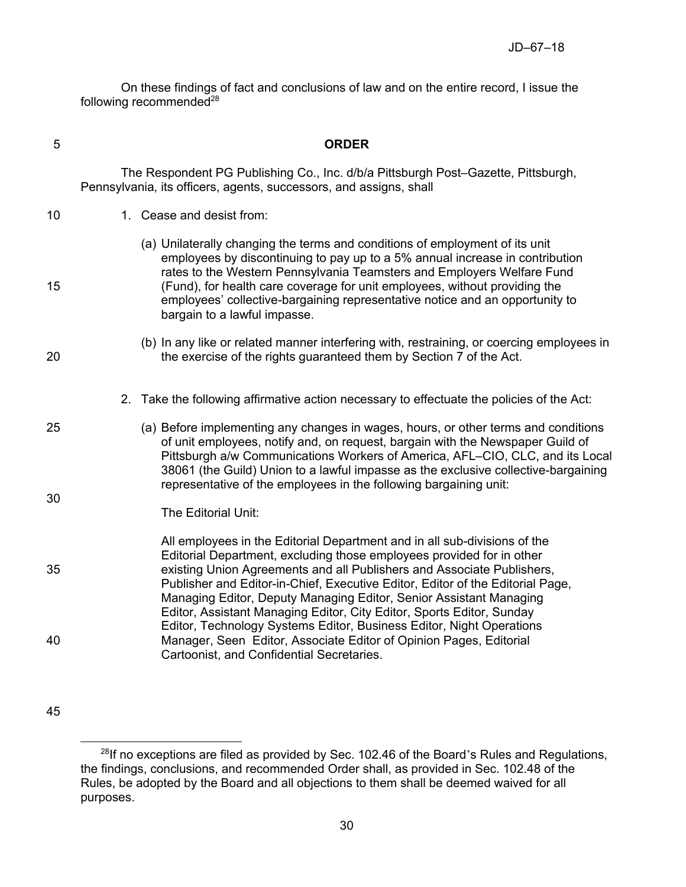On these findings of fact and conclusions of law and on the entire record, I issue the following recommended $^{28}$ 

| 5  | <b>ORDER</b>                                                                                                                                                                                                                                                                                                                                                                                                                                                  |  |  |
|----|---------------------------------------------------------------------------------------------------------------------------------------------------------------------------------------------------------------------------------------------------------------------------------------------------------------------------------------------------------------------------------------------------------------------------------------------------------------|--|--|
|    | The Respondent PG Publishing Co., Inc. d/b/a Pittsburgh Post-Gazette, Pittsburgh,<br>Pennsylvania, its officers, agents, successors, and assigns, shall                                                                                                                                                                                                                                                                                                       |  |  |
| 10 | 1. Cease and desist from:                                                                                                                                                                                                                                                                                                                                                                                                                                     |  |  |
| 15 | (a) Unilaterally changing the terms and conditions of employment of its unit<br>employees by discontinuing to pay up to a 5% annual increase in contribution<br>rates to the Western Pennsylvania Teamsters and Employers Welfare Fund<br>(Fund), for health care coverage for unit employees, without providing the<br>employees' collective-bargaining representative notice and an opportunity to<br>bargain to a lawful impasse.                          |  |  |
| 20 | (b) In any like or related manner interfering with, restraining, or coercing employees in<br>the exercise of the rights guaranteed them by Section 7 of the Act.                                                                                                                                                                                                                                                                                              |  |  |
|    | Take the following affirmative action necessary to effectuate the policies of the Act:<br>2.                                                                                                                                                                                                                                                                                                                                                                  |  |  |
| 25 | (a) Before implementing any changes in wages, hours, or other terms and conditions<br>of unit employees, notify and, on request, bargain with the Newspaper Guild of<br>Pittsburgh a/w Communications Workers of America, AFL-CIO, CLC, and its Local<br>38061 (the Guild) Union to a lawful impasse as the exclusive collective-bargaining<br>representative of the employees in the following bargaining unit:                                              |  |  |
| 30 | The Editorial Unit:                                                                                                                                                                                                                                                                                                                                                                                                                                           |  |  |
| 35 | All employees in the Editorial Department and in all sub-divisions of the<br>Editorial Department, excluding those employees provided for in other<br>existing Union Agreements and all Publishers and Associate Publishers,<br>Publisher and Editor-in-Chief, Executive Editor, Editor of the Editorial Page,<br>Managing Editor, Deputy Managing Editor, Senior Assistant Managing<br>Editor, Assistant Managing Editor, City Editor, Sports Editor, Sunday |  |  |
| 40 | Editor, Technology Systems Editor, Business Editor, Night Operations<br>Manager, Seen Editor, Associate Editor of Opinion Pages, Editorial<br>Cartoonist, and Confidential Secretaries.                                                                                                                                                                                                                                                                       |  |  |

45

 $\overline{a}$ 

 $^{28}$ If no exceptions are filed as provided by Sec. 102.46 of the Board's Rules and Regulations, the findings, conclusions, and recommended Order shall, as provided in Sec. 102.48 of the Rules, be adopted by the Board and all objections to them shall be deemed waived for all purposes.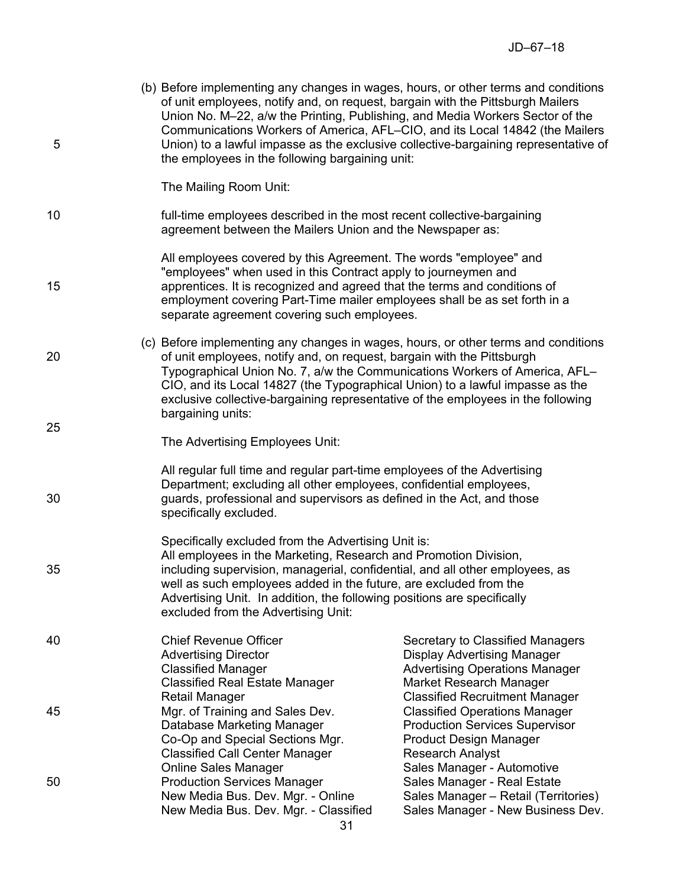| 5  |  | (b) Before implementing any changes in wages, hours, or other terms and conditions<br>of unit employees, notify and, on request, bargain with the Pittsburgh Mailers<br>Union No. M-22, a/w the Printing, Publishing, and Media Workers Sector of the<br>Communications Workers of America, AFL-CIO, and its Local 14842 (the Mailers<br>Union) to a lawful impasse as the exclusive collective-bargaining representative of<br>the employees in the following bargaining unit: |                                                                                                                                                                   |  |
|----|--|---------------------------------------------------------------------------------------------------------------------------------------------------------------------------------------------------------------------------------------------------------------------------------------------------------------------------------------------------------------------------------------------------------------------------------------------------------------------------------|-------------------------------------------------------------------------------------------------------------------------------------------------------------------|--|
|    |  | The Mailing Room Unit:                                                                                                                                                                                                                                                                                                                                                                                                                                                          |                                                                                                                                                                   |  |
| 10 |  | full-time employees described in the most recent collective-bargaining<br>agreement between the Mailers Union and the Newspaper as:                                                                                                                                                                                                                                                                                                                                             |                                                                                                                                                                   |  |
| 15 |  | All employees covered by this Agreement. The words "employee" and<br>"employees" when used in this Contract apply to journeymen and<br>apprentices. It is recognized and agreed that the terms and conditions of<br>employment covering Part-Time mailer employees shall be as set forth in a<br>separate agreement covering such employees.                                                                                                                                    |                                                                                                                                                                   |  |
| 20 |  | (c) Before implementing any changes in wages, hours, or other terms and conditions<br>of unit employees, notify and, on request, bargain with the Pittsburgh<br>Typographical Union No. 7, a/w the Communications Workers of America, AFL-<br>CIO, and its Local 14827 (the Typographical Union) to a lawful impasse as the<br>exclusive collective-bargaining representative of the employees in the following                                                                 |                                                                                                                                                                   |  |
| 25 |  | bargaining units:                                                                                                                                                                                                                                                                                                                                                                                                                                                               |                                                                                                                                                                   |  |
|    |  | The Advertising Employees Unit:                                                                                                                                                                                                                                                                                                                                                                                                                                                 |                                                                                                                                                                   |  |
| 30 |  | All regular full time and regular part-time employees of the Advertising<br>Department; excluding all other employees, confidential employees,<br>guards, professional and supervisors as defined in the Act, and those<br>specifically excluded.                                                                                                                                                                                                                               |                                                                                                                                                                   |  |
| 35 |  | Specifically excluded from the Advertising Unit is:<br>All employees in the Marketing, Research and Promotion Division,<br>including supervision, managerial, confidential, and all other employees, as<br>well as such employees added in the future, are excluded from the<br>Advertising Unit. In addition, the following positions are specifically<br>excluded from the Advertising Unit:                                                                                  |                                                                                                                                                                   |  |
| 40 |  | <b>Chief Revenue Officer</b><br><b>Advertising Director</b><br><b>Classified Manager</b><br><b>Classified Real Estate Manager</b>                                                                                                                                                                                                                                                                                                                                               | Secretary to Classified Managers<br><b>Display Advertising Manager</b><br><b>Advertising Operations Manager</b><br>Market Research Manager                        |  |
| 45 |  | Retail Manager<br>Mgr. of Training and Sales Dev.<br>Database Marketing Manager<br>Co-Op and Special Sections Mgr.                                                                                                                                                                                                                                                                                                                                                              | <b>Classified Recruitment Manager</b><br><b>Classified Operations Manager</b><br><b>Production Services Supervisor</b><br><b>Product Design Manager</b>           |  |
| 50 |  | <b>Classified Call Center Manager</b><br><b>Online Sales Manager</b><br><b>Production Services Manager</b><br>New Media Bus. Dev. Mgr. - Online<br>New Media Bus. Dev. Mgr. - Classified                                                                                                                                                                                                                                                                                        | <b>Research Analyst</b><br>Sales Manager - Automotive<br>Sales Manager - Real Estate<br>Sales Manager - Retail (Territories)<br>Sales Manager - New Business Dev. |  |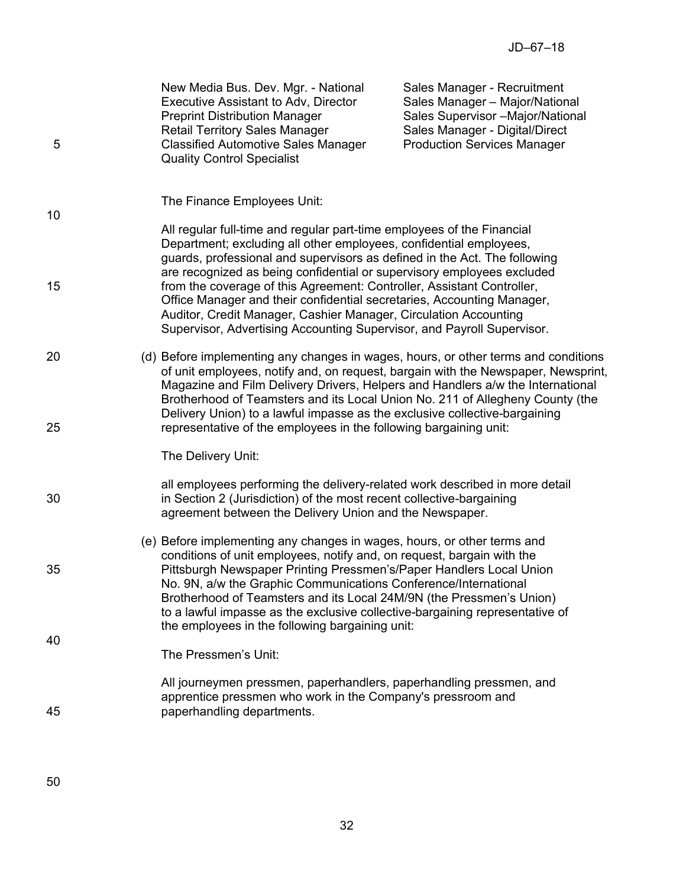| 5        | New Media Bus. Dev. Mgr. - National<br>Executive Assistant to Adv, Director<br><b>Preprint Distribution Manager</b><br><b>Retail Territory Sales Manager</b><br><b>Classified Automotive Sales Manager</b><br><b>Quality Control Specialist</b>                                                                                                                                                                                                                                                                             | Sales Manager - Recruitment<br>Sales Manager - Major/National<br>Sales Supervisor -Major/National<br>Sales Manager - Digital/Direct<br><b>Production Services Manager</b> |
|----------|-----------------------------------------------------------------------------------------------------------------------------------------------------------------------------------------------------------------------------------------------------------------------------------------------------------------------------------------------------------------------------------------------------------------------------------------------------------------------------------------------------------------------------|---------------------------------------------------------------------------------------------------------------------------------------------------------------------------|
| 10       | The Finance Employees Unit:<br>All regular full-time and regular part-time employees of the Financial                                                                                                                                                                                                                                                                                                                                                                                                                       |                                                                                                                                                                           |
| 15       | Department; excluding all other employees, confidential employees,<br>guards, professional and supervisors as defined in the Act. The following<br>are recognized as being confidential or supervisory employees excluded<br>from the coverage of this Agreement: Controller, Assistant Controller,<br>Office Manager and their confidential secretaries, Accounting Manager,<br>Auditor, Credit Manager, Cashier Manager, Circulation Accounting<br>Supervisor, Advertising Accounting Supervisor, and Payroll Supervisor. |                                                                                                                                                                           |
| 20<br>25 | (d) Before implementing any changes in wages, hours, or other terms and conditions<br>of unit employees, notify and, on request, bargain with the Newspaper, Newsprint,<br>Magazine and Film Delivery Drivers, Helpers and Handlers a/w the International<br>Brotherhood of Teamsters and its Local Union No. 211 of Allegheny County (the<br>Delivery Union) to a lawful impasse as the exclusive collective-bargaining<br>representative of the employees in the following bargaining unit:                               |                                                                                                                                                                           |
|          | The Delivery Unit:                                                                                                                                                                                                                                                                                                                                                                                                                                                                                                          |                                                                                                                                                                           |
| 30       | all employees performing the delivery-related work described in more detail<br>in Section 2 (Jurisdiction) of the most recent collective-bargaining<br>agreement between the Delivery Union and the Newspaper.                                                                                                                                                                                                                                                                                                              |                                                                                                                                                                           |
| 35       | (e) Before implementing any changes in wages, hours, or other terms and<br>conditions of unit employees, notify and, on request, bargain with the<br>Pittsburgh Newspaper Printing Pressmen's/Paper Handlers Local Union<br>No. 9N, a/w the Graphic Communications Conference/International<br>Brotherhood of Teamsters and its Local 24M/9N (the Pressmen's Union)<br>to a lawful impasse as the exclusive collective-bargaining representative of                                                                         |                                                                                                                                                                           |
| 40       | the employees in the following bargaining unit:<br>The Pressmen's Unit:                                                                                                                                                                                                                                                                                                                                                                                                                                                     |                                                                                                                                                                           |
| 45       | All journeymen pressmen, paperhandlers, paperhandling pressmen, and<br>apprentice pressmen who work in the Company's pressroom and<br>paperhandling departments.                                                                                                                                                                                                                                                                                                                                                            |                                                                                                                                                                           |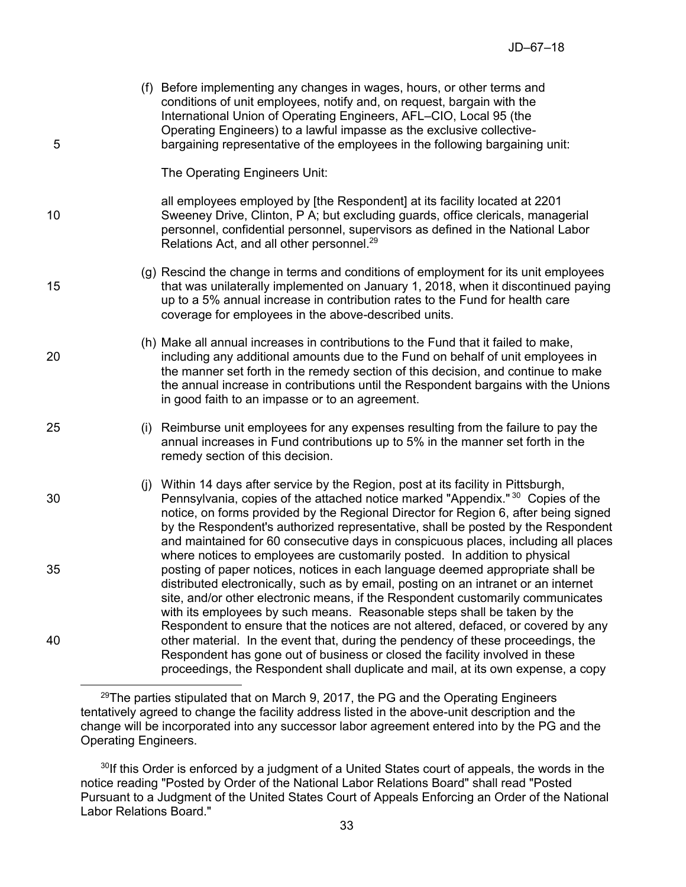| 5  | (f) Before implementing any changes in wages, hours, or other terms and<br>conditions of unit employees, notify and, on request, bargain with the<br>International Union of Operating Engineers, AFL-CIO, Local 95 (the<br>Operating Engineers) to a lawful impasse as the exclusive collective-<br>bargaining representative of the employees in the following bargaining unit:                                                                   |
|----|----------------------------------------------------------------------------------------------------------------------------------------------------------------------------------------------------------------------------------------------------------------------------------------------------------------------------------------------------------------------------------------------------------------------------------------------------|
|    | The Operating Engineers Unit:                                                                                                                                                                                                                                                                                                                                                                                                                      |
| 10 | all employees employed by [the Respondent] at its facility located at 2201<br>Sweeney Drive, Clinton, P A; but excluding guards, office clericals, managerial<br>personnel, confidential personnel, supervisors as defined in the National Labor<br>Relations Act, and all other personnel. <sup>29</sup>                                                                                                                                          |
| 15 | (g) Rescind the change in terms and conditions of employment for its unit employees<br>that was unilaterally implemented on January 1, 2018, when it discontinued paying<br>up to a 5% annual increase in contribution rates to the Fund for health care<br>coverage for employees in the above-described units.                                                                                                                                   |
| 20 | (h) Make all annual increases in contributions to the Fund that it failed to make,<br>including any additional amounts due to the Fund on behalf of unit employees in<br>the manner set forth in the remedy section of this decision, and continue to make<br>the annual increase in contributions until the Respondent bargains with the Unions<br>in good faith to an impasse or to an agreement.                                                |
| 25 | (i) Reimburse unit employees for any expenses resulting from the failure to pay the<br>annual increases in Fund contributions up to 5% in the manner set forth in the<br>remedy section of this decision.                                                                                                                                                                                                                                          |
| 30 | (i) Within 14 days after service by the Region, post at its facility in Pittsburgh,<br>Pennsylvania, copies of the attached notice marked "Appendix." <sup>30</sup> Copies of the<br>notice, on forms provided by the Regional Director for Region 6, after being signed<br>by the Respondent's authorized representative, shall be posted by the Respondent<br>and maintained for 60 consecutive days in conspicuous places, including all places |
| 35 | where notices to employees are customarily posted. In addition to physical<br>posting of paper notices, notices in each language deemed appropriate shall be<br>distributed electronically, such as by email, posting on an intranet or an internet<br>site, and/or other electronic means, if the Respondent customarily communicates<br>with its employees by such means. Reasonable steps shall be taken by the                                 |
| 40 | Respondent to ensure that the notices are not altered, defaced, or covered by any<br>other material. In the event that, during the pendency of these proceedings, the<br>Respondent has gone out of business or closed the facility involved in these<br>proceedings, the Respondent shall duplicate and mail, at its own expense, a copy                                                                                                          |

 $29$ The parties stipulated that on March 9, 2017, the PG and the Operating Engineers tentatively agreed to change the facility address listed in the above-unit description and the change will be incorporated into any successor labor agreement entered into by the PG and the Operating Engineers.

<sup>30</sup>If this Order is enforced by a judgment of a United States court of appeals, the words in the notice reading "Posted by Order of the National Labor Relations Board" shall read "Posted Pursuant to a Judgment of the United States Court of Appeals Enforcing an Order of the National Labor Relations Board."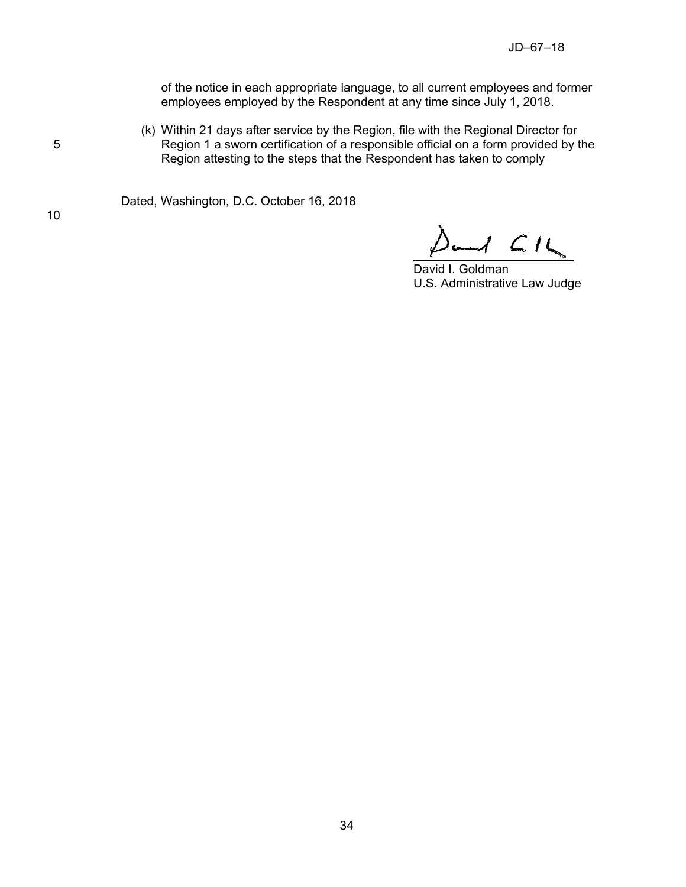of the notice in each appropriate language, to all current employees and former employees employed by the Respondent at any time since July 1, 2018.

(k) Within 21 days after service by the Region, file with the Regional Director for 5 **Region 1 a sworn certification of a responsible official on a form provided by the** Region attesting to the steps that the Respondent has taken to comply

Dated, Washington, D.C. October 16, 2018

 $\Delta$ and  $\angle$ 16

David I. Goldman U.S. Administrative Law Judge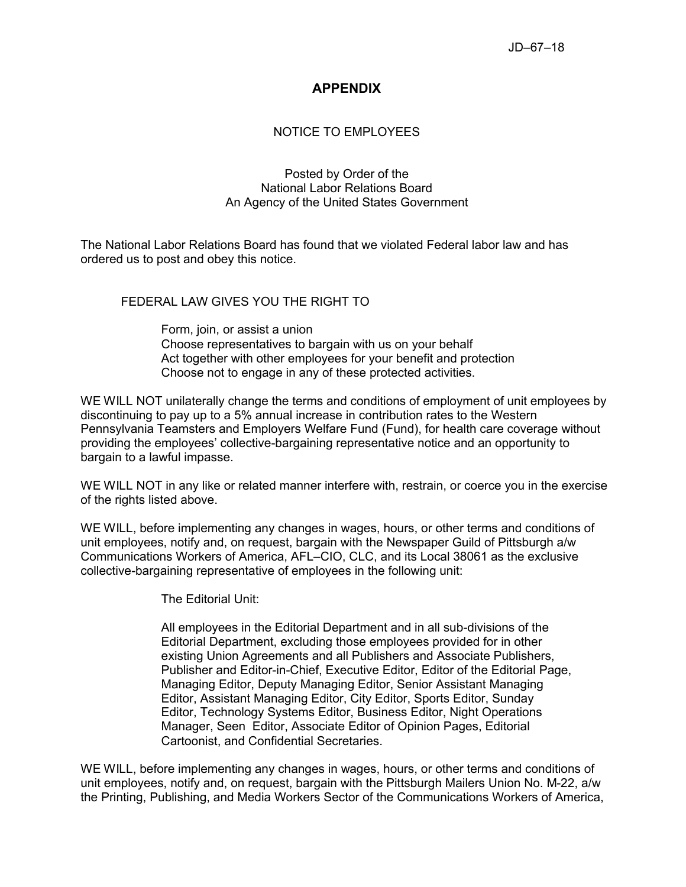## **APPENDIX**

## NOTICE TO EMPLOYEES

### Posted by Order of the National Labor Relations Board An Agency of the United States Government

The National Labor Relations Board has found that we violated Federal labor law and has ordered us to post and obey this notice.

### FEDERAL LAW GIVES YOU THE RIGHT TO

Form, join, or assist a union Choose representatives to bargain with us on your behalf Act together with other employees for your benefit and protection Choose not to engage in any of these protected activities.

WE WILL NOT unilaterally change the terms and conditions of employment of unit employees by discontinuing to pay up to a 5% annual increase in contribution rates to the Western Pennsylvania Teamsters and Employers Welfare Fund (Fund), for health care coverage without providing the employees' collective-bargaining representative notice and an opportunity to bargain to a lawful impasse.

WE WILL NOT in any like or related manner interfere with, restrain, or coerce you in the exercise of the rights listed above.

WE WILL, before implementing any changes in wages, hours, or other terms and conditions of unit employees, notify and, on request, bargain with the Newspaper Guild of Pittsburgh a/w Communications Workers of America, AFL–CIO, CLC, and its Local 38061 as the exclusive collective-bargaining representative of employees in the following unit:

The Editorial Unit:

All employees in the Editorial Department and in all sub-divisions of the Editorial Department, excluding those employees provided for in other existing Union Agreements and all Publishers and Associate Publishers, Publisher and Editor-in-Chief, Executive Editor, Editor of the Editorial Page, Managing Editor, Deputy Managing Editor, Senior Assistant Managing Editor, Assistant Managing Editor, City Editor, Sports Editor, Sunday Editor, Technology Systems Editor, Business Editor, Night Operations Manager, Seen Editor, Associate Editor of Opinion Pages, Editorial Cartoonist, and Confidential Secretaries.

WE WILL, before implementing any changes in wages, hours, or other terms and conditions of unit employees, notify and, on request, bargain with the Pittsburgh Mailers Union No. M-22, a/w the Printing, Publishing, and Media Workers Sector of the Communications Workers of America,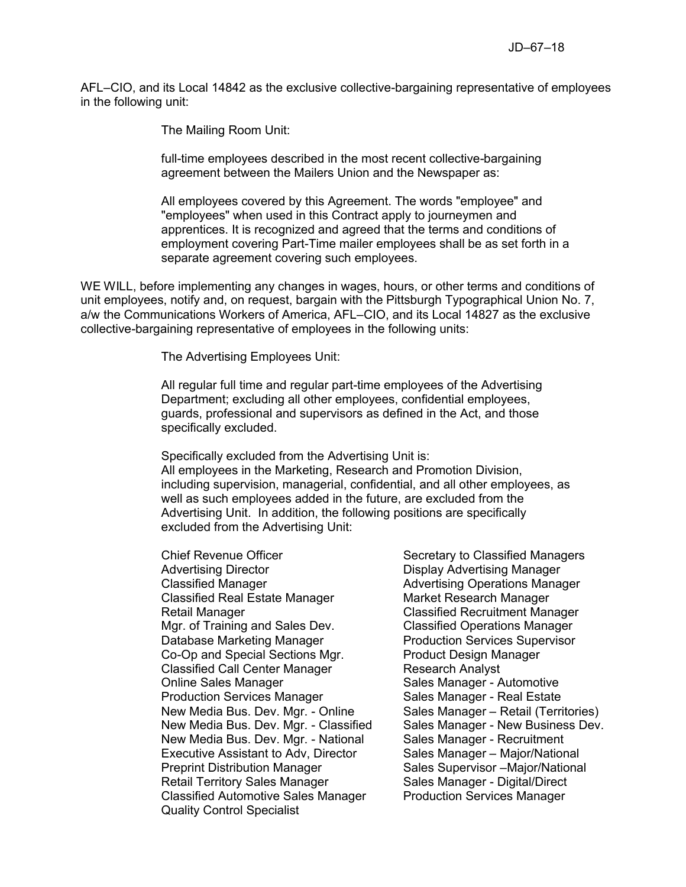AFL–CIO, and its Local 14842 as the exclusive collective-bargaining representative of employees in the following unit:

The Mailing Room Unit:

full-time employees described in the most recent collective-bargaining agreement between the Mailers Union and the Newspaper as:

All employees covered by this Agreement. The words "employee" and "employees" when used in this Contract apply to journeymen and apprentices. It is recognized and agreed that the terms and conditions of employment covering Part-Time mailer employees shall be as set forth in a separate agreement covering such employees.

WE WILL, before implementing any changes in wages, hours, or other terms and conditions of unit employees, notify and, on request, bargain with the Pittsburgh Typographical Union No. 7, a/w the Communications Workers of America, AFL–CIO, and its Local 14827 as the exclusive collective-bargaining representative of employees in the following units:

The Advertising Employees Unit:

All regular full time and regular part-time employees of the Advertising Department; excluding all other employees, confidential employees, guards, professional and supervisors as defined in the Act, and those specifically excluded.

Specifically excluded from the Advertising Unit is: All employees in the Marketing, Research and Promotion Division, including supervision, managerial, confidential, and all other employees, as well as such employees added in the future, are excluded from the Advertising Unit. In addition, the following positions are specifically excluded from the Advertising Unit:

Chief Revenue Officer Secretary to Classified Managers Advertising Director **Display Advertising Manager** Classified Manager **Advertising Operations Manager** Advertising Operations Manager Classified Real Estate Manager Market Research Manager Retail Manager Classified Recruitment Manager Mgr. of Training and Sales Dev. Classified Operations Manager Database Marketing Manager **Production Services Supervisor** Co-Op and Special Sections Mgr. Product Design Manager Classified Call Center Manager Research Analyst Online Sales Manager Sales Manager - Automotive Production Services Manager Sales Manager - Real Estate New Media Bus. Dev. Mgr. - Online Sales Manager – Retail (Territories) New Media Bus. Dev. Mgr. - Classified Sales Manager - New Business Dev. New Media Bus. Dev. Mgr. - National Sales Manager - Recruitment Executive Assistant to Adv, Director Sales Manager – Major/National Preprint Distribution Manager Sales Supervisor – Major/National Retail Territory Sales Manager Sales Manager - Digital/Direct Classified Automotive Sales Manager Production Services Manager Quality Control Specialist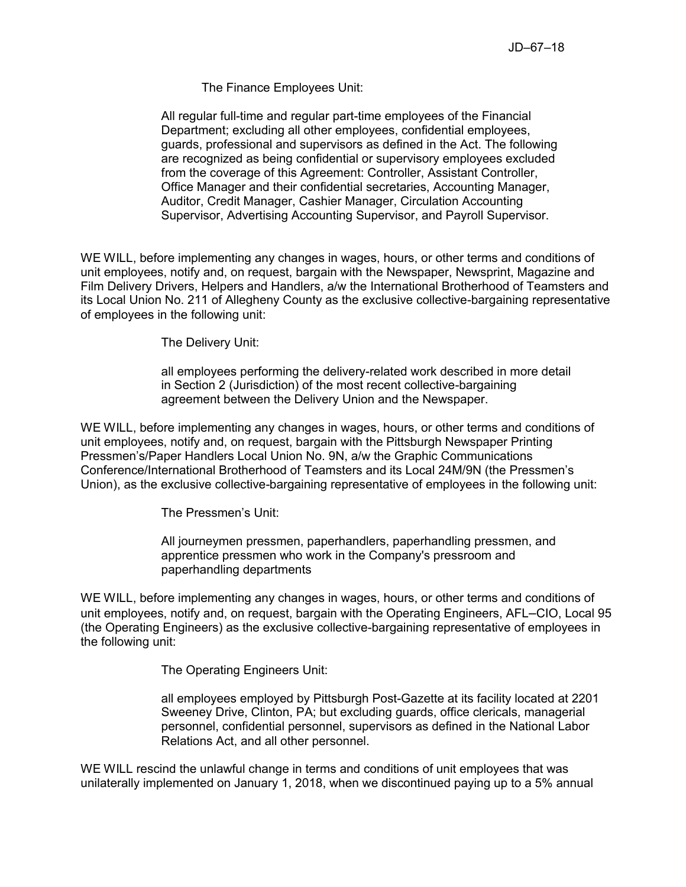The Finance Employees Unit:

All regular full-time and regular part-time employees of the Financial Department; excluding all other employees, confidential employees, guards, professional and supervisors as defined in the Act. The following are recognized as being confidential or supervisory employees excluded from the coverage of this Agreement: Controller, Assistant Controller, Office Manager and their confidential secretaries, Accounting Manager, Auditor, Credit Manager, Cashier Manager, Circulation Accounting Supervisor, Advertising Accounting Supervisor, and Payroll Supervisor.

WE WILL, before implementing any changes in wages, hours, or other terms and conditions of unit employees, notify and, on request, bargain with the Newspaper, Newsprint, Magazine and Film Delivery Drivers, Helpers and Handlers, a/w the International Brotherhood of Teamsters and its Local Union No. 211 of Allegheny County as the exclusive collective-bargaining representative of employees in the following unit:

The Delivery Unit:

all employees performing the delivery-related work described in more detail in Section 2 (Jurisdiction) of the most recent collective-bargaining agreement between the Delivery Union and the Newspaper.

WE WILL, before implementing any changes in wages, hours, or other terms and conditions of unit employees, notify and, on request, bargain with the Pittsburgh Newspaper Printing Pressmen's/Paper Handlers Local Union No. 9N, a/w the Graphic Communications Conference/International Brotherhood of Teamsters and its Local 24M/9N (the Pressmen's Union), as the exclusive collective-bargaining representative of employees in the following unit:

The Pressmen's Unit:

All journeymen pressmen, paperhandlers, paperhandling pressmen, and apprentice pressmen who work in the Company's pressroom and paperhandling departments

WE WILL, before implementing any changes in wages, hours, or other terms and conditions of unit employees, notify and, on request, bargain with the Operating Engineers, AFL–CIO, Local 95 (the Operating Engineers) as the exclusive collective-bargaining representative of employees in the following unit:

The Operating Engineers Unit:

all employees employed by Pittsburgh Post-Gazette at its facility located at 2201 Sweeney Drive, Clinton, PA; but excluding guards, office clericals, managerial personnel, confidential personnel, supervisors as defined in the National Labor Relations Act, and all other personnel.

WE WILL rescind the unlawful change in terms and conditions of unit employees that was unilaterally implemented on January 1, 2018, when we discontinued paying up to a 5% annual